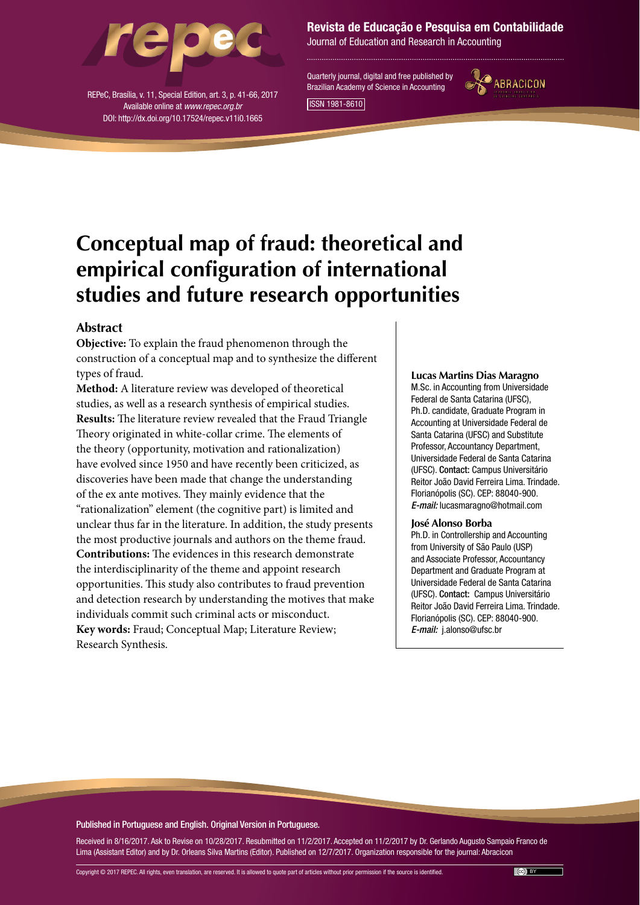

REPeC, Brasília, v. 11, Special Edition, art. 3, p. 41-66, 2017 Available online at *www.repec.org.br* DOI: http://dx.doi.org/10.17524/repec.v11i0.1665

### Revista de Educação e Pesquisa em Contabilidade

Journal of Education and Research in Accounting

Quarterly journal, digital and free published by Brazilian Academy of Science in Accounting ISSN 1981-8610



# **Conceptual map of fraud: theoretical and empirical configuration of international studies and future research opportunities**

### **Abstract**

**Objective:** To explain the fraud phenomenon through the construction of a conceptual map and to synthesize the different types of fraud.

**Method:** A literature review was developed of theoretical studies, as well as a research synthesis of empirical studies. **Results:** The literature review revealed that the Fraud Triangle Theory originated in white-collar crime. The elements of the theory (opportunity, motivation and rationalization) have evolved since 1950 and have recently been criticized, as discoveries have been made that change the understanding of the ex ante motives. They mainly evidence that the "rationalization" element (the cognitive part) is limited and unclear thus far in the literature. In addition, the study presents the most productive journals and authors on the theme fraud. **Contributions:** The evidences in this research demonstrate the interdisciplinarity of the theme and appoint research opportunities. This study also contributes to fraud prevention and detection research by understanding the motives that make individuals commit such criminal acts or misconduct. **Key words:** Fraud; Conceptual Map; Literature Review; Research Synthesis.

#### **Lucas Martins Dias Maragno**

M.Sc. in Accounting from Universidade Federal de Santa Catarina (UFSC), Ph.D. candidate, Graduate Program in Accounting at Universidade Federal de Santa Catarina (UFSC) and Substitute Professor, Accountancy Department, Universidade Federal de Santa Catarina (UFSC). Contact: Campus Universitário Reitor João David Ferreira Lima. Trindade. Florianópolis (SC). CEP: 88040-900. *E-mail:* lucasmaragno@hotmail.com

#### **José Alonso Borba**

Ph.D. in Controllership and Accounting from University of São Paulo (USP) and Associate Professor, Accountancy Department and Graduate Program at Universidade Federal de Santa Catarina (UFSC). Contact: Campus Universitário Reitor João David Ferreira Lima. Trindade. Florianópolis (SC). CEP: 88040-900. *E-mail:* j.alonso@ufsc.br

#### Published in Portuguese and English. Original Version in Portuguese.

Received in 8/16/2017. Ask to Revise on 10/28/2017. Resubmitted on 11/2/2017. Accepted on 11/2/2017 by Dr. Gerlando Augusto Sampaio Franco de Lima (Assistant Editor) and by Dr. Orleans Silva Martins (Editor). Published on 12/7/2017. Organization responsible for the journal: Abracicon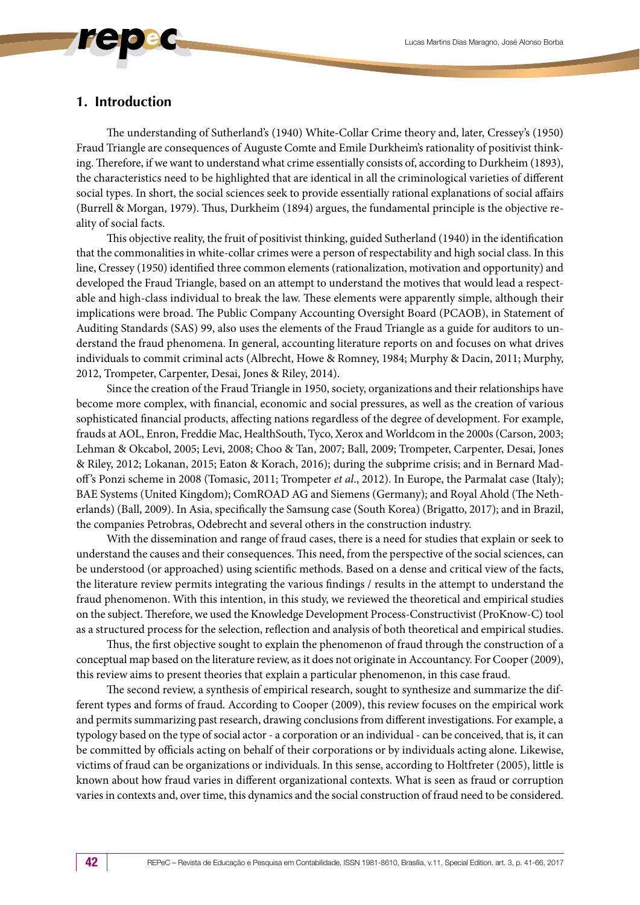### **1. Introduction**

The understanding of Sutherland's (1940) White-Collar Crime theory and, later, Cressey's (1950) Fraud Triangle are consequences of Auguste Comte and Emile Durkheim's rationality of positivist thinking. Therefore, if we want to understand what crime essentially consists of, according to Durkheim (1893), the characteristics need to be highlighted that are identical in all the criminological varieties of different social types. In short, the social sciences seek to provide essentially rational explanations of social affairs (Burrell & Morgan, 1979). Thus, Durkheim (1894) argues, the fundamental principle is the objective reality of social facts.

This objective reality, the fruit of positivist thinking, guided Sutherland (1940) in the identification that the commonalities in white-collar crimes were a person of respectability and high social class. In this line, Cressey (1950) identified three common elements (rationalization, motivation and opportunity) and developed the Fraud Triangle, based on an attempt to understand the motives that would lead a respectable and high-class individual to break the law. These elements were apparently simple, although their implications were broad. The Public Company Accounting Oversight Board (PCAOB), in Statement of Auditing Standards (SAS) 99, also uses the elements of the Fraud Triangle as a guide for auditors to understand the fraud phenomena. In general, accounting literature reports on and focuses on what drives individuals to commit criminal acts (Albrecht, Howe & Romney, 1984; Murphy & Dacin, 2011; Murphy, 2012, Trompeter, Carpenter, Desai, Jones & Riley, 2014).

Since the creation of the Fraud Triangle in 1950, society, organizations and their relationships have become more complex, with financial, economic and social pressures, as well as the creation of various sophisticated financial products, affecting nations regardless of the degree of development. For example, frauds at AOL, Enron, Freddie Mac, HealthSouth, Tyco, Xerox and Worldcom in the 2000s (Carson, 2003; Lehman & Okcabol, 2005; Levi, 2008; Choo & Tan, 2007; Ball, 2009; Trompeter, Carpenter, Desai, Jones & Riley, 2012; Lokanan, 2015; Eaton & Korach, 2016); during the subprime crisis; and in Bernard Madoff 's Ponzi scheme in 2008 (Tomasic, 2011; Trompeter *et al*., 2012). In Europe, the Parmalat case (Italy); BAE Systems (United Kingdom); ComROAD AG and Siemens (Germany); and Royal Ahold (The Netherlands) (Ball, 2009). In Asia, specifically the Samsung case (South Korea) (Brigatto, 2017); and in Brazil, the companies Petrobras, Odebrecht and several others in the construction industry.

With the dissemination and range of fraud cases, there is a need for studies that explain or seek to understand the causes and their consequences. This need, from the perspective of the social sciences, can be understood (or approached) using scientific methods. Based on a dense and critical view of the facts, the literature review permits integrating the various findings / results in the attempt to understand the fraud phenomenon. With this intention, in this study, we reviewed the theoretical and empirical studies on the subject. Therefore, we used the Knowledge Development Process-Constructivist (ProKnow-C) tool as a structured process for the selection, reflection and analysis of both theoretical and empirical studies.

Thus, the first objective sought to explain the phenomenon of fraud through the construction of a conceptual map based on the literature review, as it does not originate in Accountancy. For Cooper (2009), this review aims to present theories that explain a particular phenomenon, in this case fraud.

The second review, a synthesis of empirical research, sought to synthesize and summarize the different types and forms of fraud. According to Cooper (2009), this review focuses on the empirical work and permits summarizing past research, drawing conclusions from different investigations. For example, a typology based on the type of social actor - a corporation or an individual - can be conceived, that is, it can be committed by officials acting on behalf of their corporations or by individuals acting alone. Likewise, victims of fraud can be organizations or individuals. In this sense, according to Holtfreter (2005), little is known about how fraud varies in different organizational contexts. What is seen as fraud or corruption varies in contexts and, over time, this dynamics and the social construction of fraud need to be considered.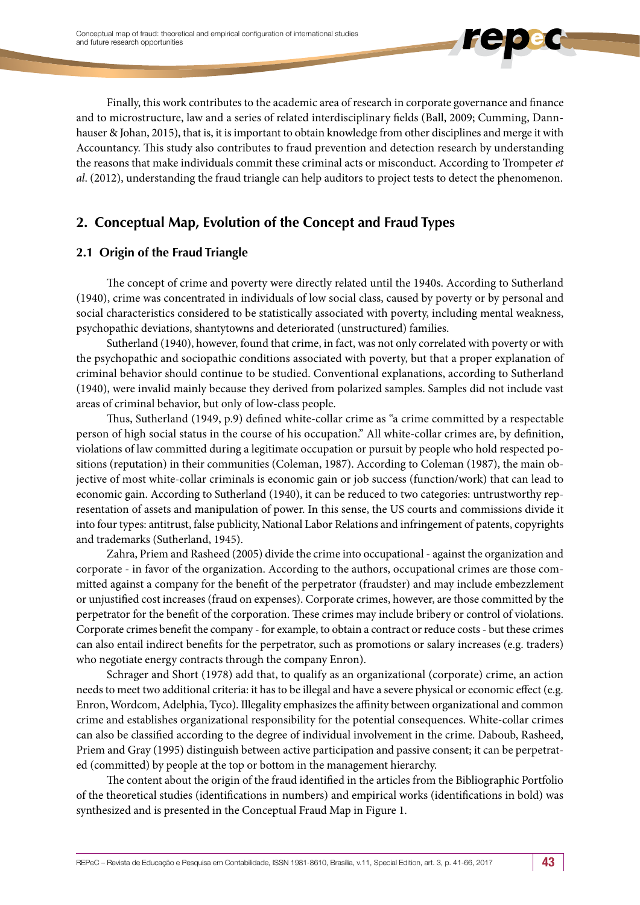Finally, this work contributes to the academic area of research in corporate governance and finance and to microstructure, law and a series of related interdisciplinary fields (Ball, 2009; Cumming, Dannhauser & Johan, 2015), that is, it is important to obtain knowledge from other disciplines and merge it with Accountancy. This study also contributes to fraud prevention and detection research by understanding the reasons that make individuals commit these criminal acts or misconduct. According to Trompeter *et al*. (2012), understanding the fraud triangle can help auditors to project tests to detect the phenomenon.

### **2. Conceptual Map, Evolution of the Concept and Fraud Types**

### **2.1 Origin of the Fraud Triangle**

The concept of crime and poverty were directly related until the 1940s. According to Sutherland (1940), crime was concentrated in individuals of low social class, caused by poverty or by personal and social characteristics considered to be statistically associated with poverty, including mental weakness, psychopathic deviations, shantytowns and deteriorated (unstructured) families.

Sutherland (1940), however, found that crime, in fact, was not only correlated with poverty or with the psychopathic and sociopathic conditions associated with poverty, but that a proper explanation of criminal behavior should continue to be studied. Conventional explanations, according to Sutherland (1940), were invalid mainly because they derived from polarized samples. Samples did not include vast areas of criminal behavior, but only of low-class people.

Thus, Sutherland (1949, p.9) defined white-collar crime as "a crime committed by a respectable person of high social status in the course of his occupation." All white-collar crimes are, by definition, violations of law committed during a legitimate occupation or pursuit by people who hold respected positions (reputation) in their communities (Coleman, 1987). According to Coleman (1987), the main objective of most white-collar criminals is economic gain or job success (function/work) that can lead to economic gain. According to Sutherland (1940), it can be reduced to two categories: untrustworthy representation of assets and manipulation of power. In this sense, the US courts and commissions divide it into four types: antitrust, false publicity, National Labor Relations and infringement of patents, copyrights and trademarks (Sutherland, 1945).

Zahra, Priem and Rasheed (2005) divide the crime into occupational - against the organization and corporate - in favor of the organization. According to the authors, occupational crimes are those committed against a company for the benefit of the perpetrator (fraudster) and may include embezzlement or unjustified cost increases (fraud on expenses). Corporate crimes, however, are those committed by the perpetrator for the benefit of the corporation. These crimes may include bribery or control of violations. Corporate crimes benefit the company - for example, to obtain a contract or reduce costs - but these crimes can also entail indirect benefits for the perpetrator, such as promotions or salary increases (e.g. traders) who negotiate energy contracts through the company Enron).

Schrager and Short (1978) add that, to qualify as an organizational (corporate) crime, an action needs to meet two additional criteria: it has to be illegal and have a severe physical or economic effect (e.g. Enron, Wordcom, Adelphia, Tyco). Illegality emphasizes the affinity between organizational and common crime and establishes organizational responsibility for the potential consequences. White-collar crimes can also be classified according to the degree of individual involvement in the crime. Daboub, Rasheed, Priem and Gray (1995) distinguish between active participation and passive consent; it can be perpetrated (committed) by people at the top or bottom in the management hierarchy.

The content about the origin of the fraud identified in the articles from the Bibliographic Portfolio of the theoretical studies (identifications in numbers) and empirical works (identifications in bold) was synthesized and is presented in the Conceptual Fraud Map in Figure 1.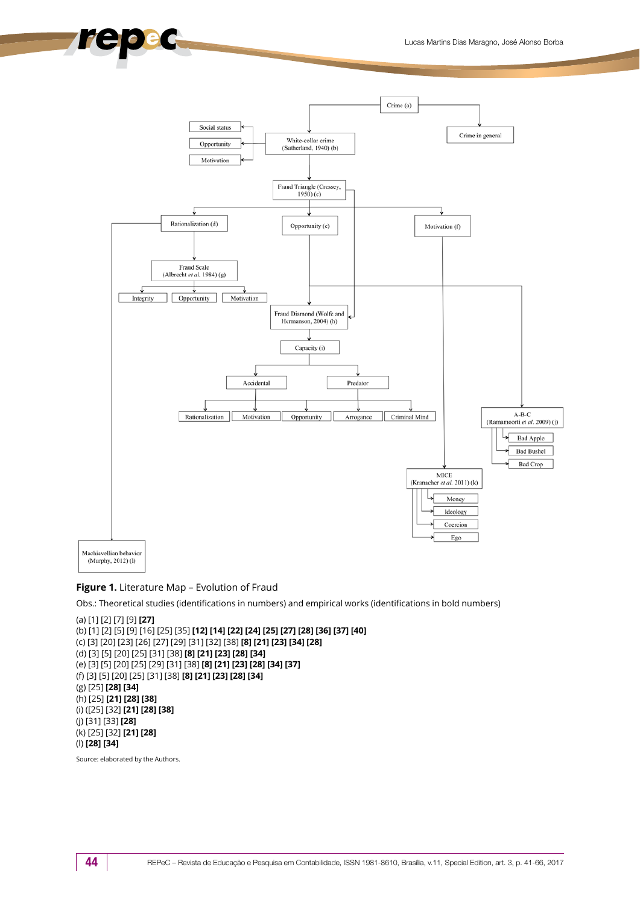

#### **Figure 1.** Literature Map – Evolution of Fraud

Obs.: Theoretical studies (identifications in numbers) and empirical works (identifications in bold numbers)

```
(a) [1] [2] [7] [9] [27]
(b) [1] [2] [5] [9] [16] [25] [35] [12] [14] [22] [24] [25] [27] [28] [36] [37] [40] 
(c) [3] [20] [23] [26] [27] [29] [31] [32] [38] [8] [21] [23] [34] [28]
(d) [3] [5] [20] [25] [31] [38] [8] [21] [23] [28] [34]
(e) [3] [5] [20] [25] [29] [31] [38] [8] [21] [23] [28] [34] [37]
(f) [3] [5] [20] [25] [31] [38] [8] [21] [23] [28] [34]
(g) [25] [28] [34]
(h) [25] [21] [28] [38]
(i) ([25] [32] [21] [28] [38]
(j) [31] [33] [28]
(k) [25] [32] [21] [28]
(l) [28] [34]
```
Source: elaborated by the Authors.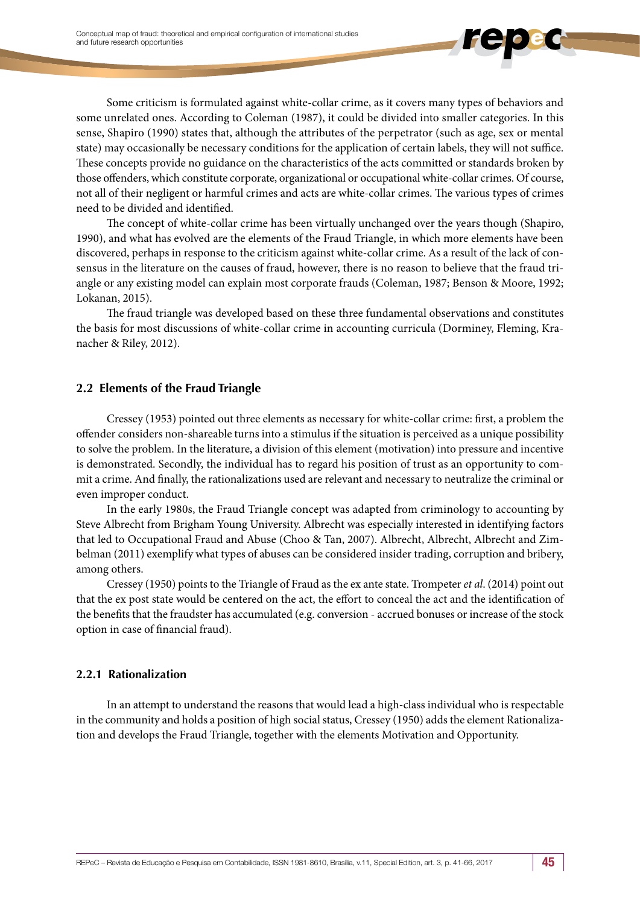Some criticism is formulated against white-collar crime, as it covers many types of behaviors and some unrelated ones. According to Coleman (1987), it could be divided into smaller categories. In this sense, Shapiro (1990) states that, although the attributes of the perpetrator (such as age, sex or mental state) may occasionally be necessary conditions for the application of certain labels, they will not suffice. These concepts provide no guidance on the characteristics of the acts committed or standards broken by those offenders, which constitute corporate, organizational or occupational white-collar crimes. Of course, not all of their negligent or harmful crimes and acts are white-collar crimes. The various types of crimes need to be divided and identified.

The concept of white-collar crime has been virtually unchanged over the years though (Shapiro, 1990), and what has evolved are the elements of the Fraud Triangle, in which more elements have been discovered, perhaps in response to the criticism against white-collar crime. As a result of the lack of consensus in the literature on the causes of fraud, however, there is no reason to believe that the fraud triangle or any existing model can explain most corporate frauds (Coleman, 1987; Benson & Moore, 1992; Lokanan, 2015).

The fraud triangle was developed based on these three fundamental observations and constitutes the basis for most discussions of white-collar crime in accounting curricula (Dorminey, Fleming, Kranacher & Riley, 2012).

### **2.2 Elements of the Fraud Triangle**

Cressey (1953) pointed out three elements as necessary for white-collar crime: first, a problem the offender considers non-shareable turns into a stimulus if the situation is perceived as a unique possibility to solve the problem. In the literature, a division of this element (motivation) into pressure and incentive is demonstrated. Secondly, the individual has to regard his position of trust as an opportunity to commit a crime. And finally, the rationalizations used are relevant and necessary to neutralize the criminal or even improper conduct.

In the early 1980s, the Fraud Triangle concept was adapted from criminology to accounting by Steve Albrecht from Brigham Young University. Albrecht was especially interested in identifying factors that led to Occupational Fraud and Abuse (Choo & Tan, 2007). Albrecht, Albrecht, Albrecht and Zimbelman (2011) exemplify what types of abuses can be considered insider trading, corruption and bribery, among others.

Cressey (1950) points to the Triangle of Fraud as the ex ante state. Trompeter *et al*. (2014) point out that the ex post state would be centered on the act, the effort to conceal the act and the identification of the benefits that the fraudster has accumulated (e.g. conversion - accrued bonuses or increase of the stock option in case of financial fraud).

### **2.2.1 Rationalization**

In an attempt to understand the reasons that would lead a high-class individual who is respectable in the community and holds a position of high social status, Cressey (1950) adds the element Rationalization and develops the Fraud Triangle, together with the elements Motivation and Opportunity.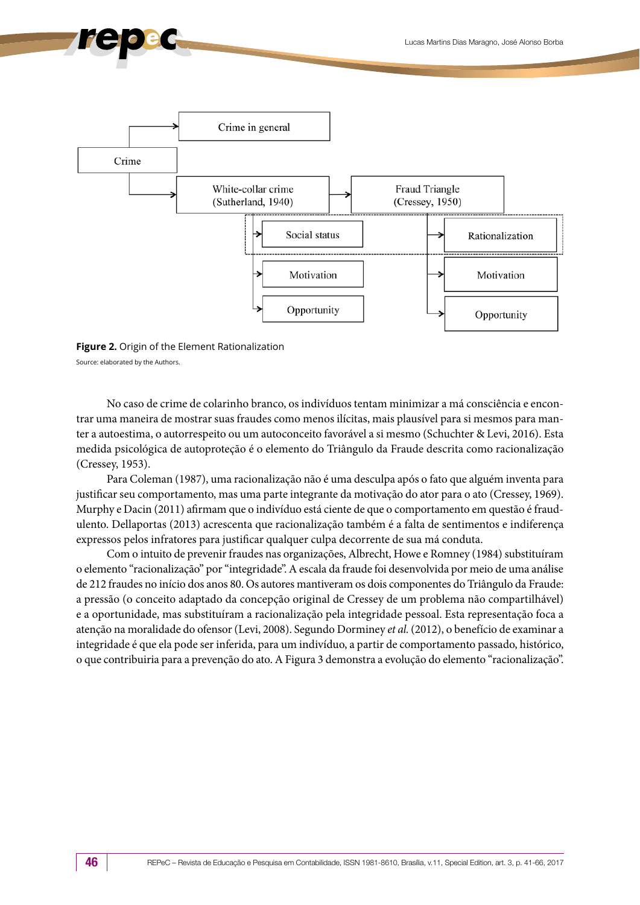

**Figure 2.** Origin of the Element Rationalization Source: elaborated by the Authors.

No caso de crime de colarinho branco, os indivíduos tentam minimizar a má consciência e encontrar uma maneira de mostrar suas fraudes como menos ilícitas, mais plausível para si mesmos para manter a autoestima, o autorrespeito ou um autoconceito favorável a si mesmo (Schuchter & Levi, 2016). Esta medida psicológica de autoproteção é o elemento do Triângulo da Fraude descrita como racionalização (Cressey, 1953).

Para Coleman (1987), uma racionalização não é uma desculpa após o fato que alguém inventa para justificar seu comportamento, mas uma parte integrante da motivação do ator para o ato (Cressey, 1969). Murphy e Dacin (2011) afirmam que o indivíduo está ciente de que o comportamento em questão é fraudulento. Dellaportas (2013) acrescenta que racionalização também é a falta de sentimentos e indiferença expressos pelos infratores para justificar qualquer culpa decorrente de sua má conduta.

Com o intuito de prevenir fraudes nas organizações, Albrecht, Howe e Romney (1984) substituíram o elemento "racionalização" por "integridade". A escala da fraude foi desenvolvida por meio de uma análise de 212 fraudes no início dos anos 80. Os autores mantiveram os dois componentes do Triângulo da Fraude: a pressão (o conceito adaptado da concepção original de Cressey de um problema não compartilhável) e a oportunidade, mas substituíram a racionalização pela integridade pessoal. Esta representação foca a atenção na moralidade do ofensor (Levi, 2008). Segundo Dorminey *et al.* (2012), o benefício de examinar a integridade é que ela pode ser inferida, para um indivíduo, a partir de comportamento passado, histórico, o que contribuiria para a prevenção do ato. A Figura 3 demonstra a evolução do elemento "racionalização".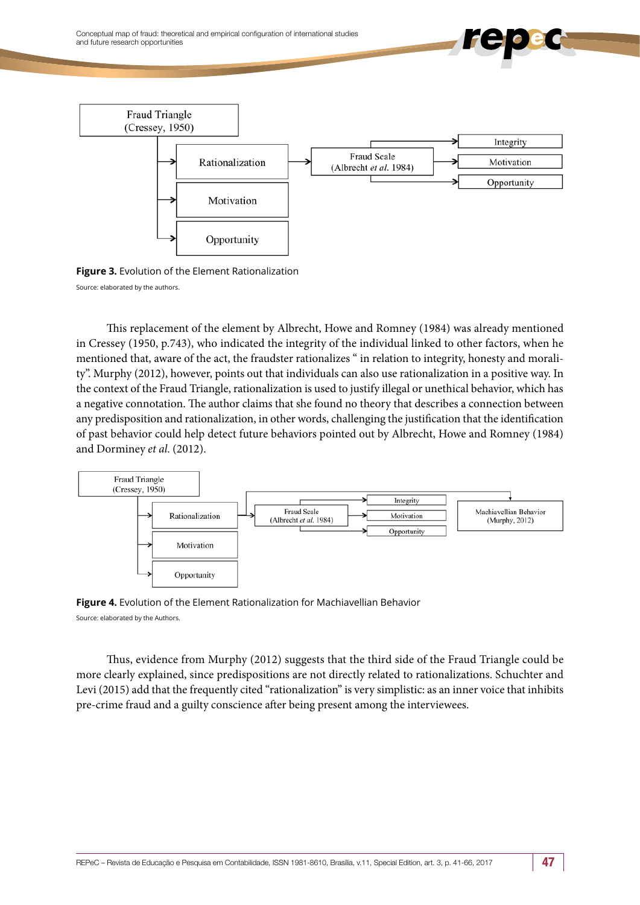Conceptual map of fraud: theoretical and empirical configuration of international studies and future research opportunities





This replacement of the element by Albrecht, Howe and Romney (1984) was already mentioned in Cressey (1950, p.743), who indicated the integrity of the individual linked to other factors, when he mentioned that, aware of the act, the fraudster rationalizes " in relation to integrity, honesty and morality". Murphy (2012), however, points out that individuals can also use rationalization in a positive way. In the context of the Fraud Triangle, rationalization is used to justify illegal or unethical behavior, which has a negative connotation. The author claims that she found no theory that describes a connection between any predisposition and rationalization, in other words, challenging the justification that the identification of past behavior could help detect future behaviors pointed out by Albrecht, Howe and Romney (1984) and Dorminey *et al*. (2012).



**Figure 4.** Evolution of the Element Rationalization for Machiavellian Behavior Source: elaborated by the Authors.

Thus, evidence from Murphy (2012) suggests that the third side of the Fraud Triangle could be more clearly explained, since predispositions are not directly related to rationalizations. Schuchter and Levi (2015) add that the frequently cited "rationalization" is very simplistic: as an inner voice that inhibits pre-crime fraud and a guilty conscience after being present among the interviewees.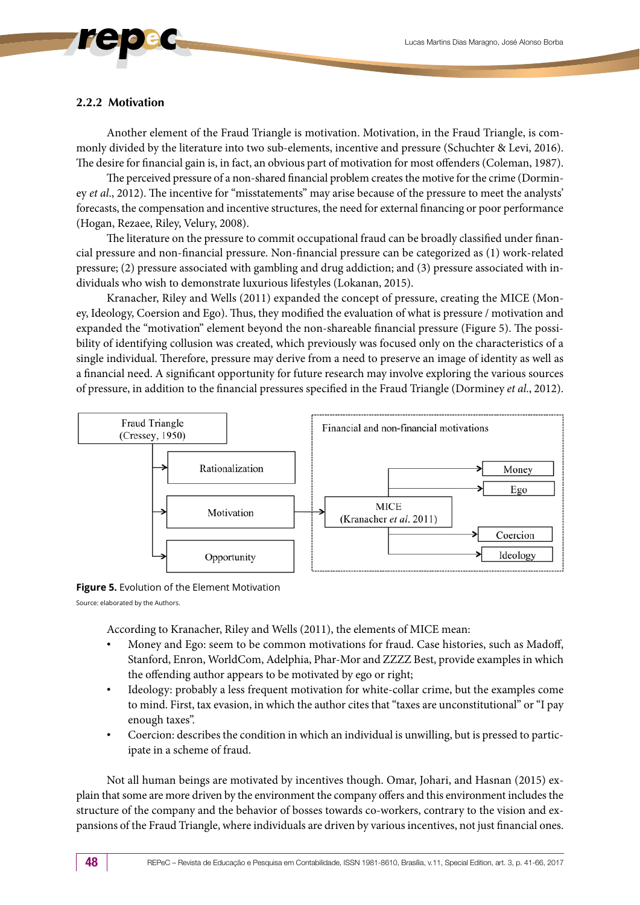#### **2.2.2 Motivation**

Another element of the Fraud Triangle is motivation. Motivation, in the Fraud Triangle, is commonly divided by the literature into two sub-elements, incentive and pressure (Schuchter & Levi, 2016). The desire for financial gain is, in fact, an obvious part of motivation for most offenders (Coleman, 1987).

The perceived pressure of a non-shared financial problem creates the motive for the crime (Dorminey *et al*., 2012). The incentive for "misstatements" may arise because of the pressure to meet the analysts' forecasts, the compensation and incentive structures, the need for external financing or poor performance (Hogan, Rezaee, Riley, Velury, 2008).

The literature on the pressure to commit occupational fraud can be broadly classified under financial pressure and non-financial pressure. Non-financial pressure can be categorized as (1) work-related pressure; (2) pressure associated with gambling and drug addiction; and (3) pressure associated with individuals who wish to demonstrate luxurious lifestyles (Lokanan, 2015).

Kranacher, Riley and Wells (2011) expanded the concept of pressure, creating the MICE (Money, Ideology, Coersion and Ego). Thus, they modified the evaluation of what is pressure / motivation and expanded the "motivation" element beyond the non-shareable financial pressure (Figure 5). The possibility of identifying collusion was created, which previously was focused only on the characteristics of a single individual. Therefore, pressure may derive from a need to preserve an image of identity as well as a financial need. A significant opportunity for future research may involve exploring the various sources of pressure, in addition to the financial pressures specified in the Fraud Triangle (Dorminey *et al*., 2012).



**Figure 5.** Evolution of the Element Motivation

Source: elaborated by the Authors.

According to Kranacher, Riley and Wells (2011), the elements of MICE mean:

- Money and Ego: seem to be common motivations for fraud. Case histories, such as Madoff, Stanford, Enron, WorldCom, Adelphia, Phar-Mor and ZZZZ Best, provide examples in which the offending author appears to be motivated by ego or right;
- Ideology: probably a less frequent motivation for white-collar crime, but the examples come to mind. First, tax evasion, in which the author cites that "taxes are unconstitutional" or "I pay enough taxes".
- Coercion: describes the condition in which an individual is unwilling, but is pressed to participate in a scheme of fraud.

Not all human beings are motivated by incentives though. Omar, Johari, and Hasnan (2015) explain that some are more driven by the environment the company offers and this environment includes the structure of the company and the behavior of bosses towards co-workers, contrary to the vision and expansions of the Fraud Triangle, where individuals are driven by various incentives, not just financial ones.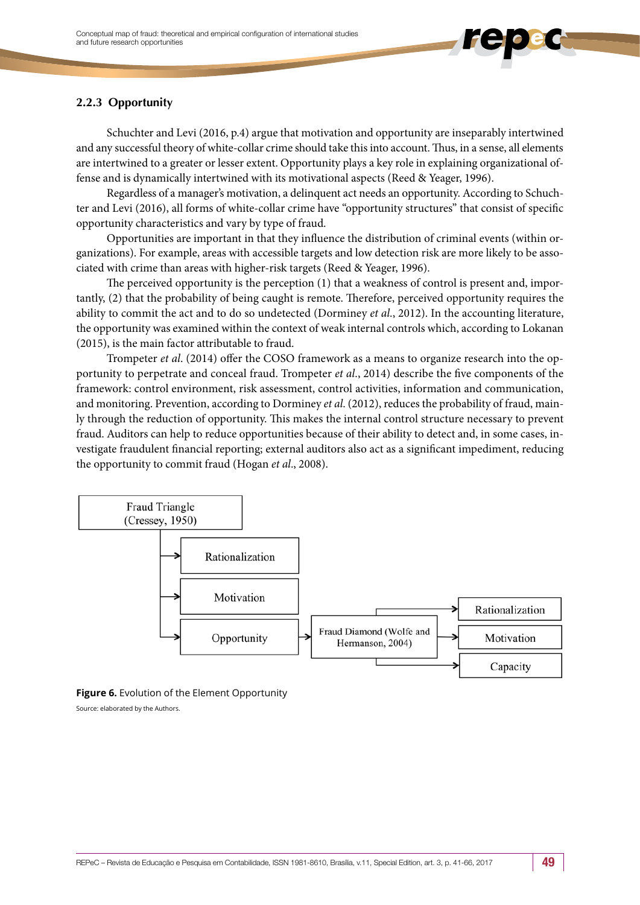### **2.2.3 Opportunity**

Schuchter and Levi (2016, p.4) argue that motivation and opportunity are inseparably intertwined and any successful theory of white-collar crime should take this into account. Thus, in a sense, all elements are intertwined to a greater or lesser extent. Opportunity plays a key role in explaining organizational offense and is dynamically intertwined with its motivational aspects (Reed & Yeager, 1996).

Regardless of a manager's motivation, a delinquent act needs an opportunity. According to Schuchter and Levi (2016), all forms of white-collar crime have "opportunity structures" that consist of specific opportunity characteristics and vary by type of fraud.

Opportunities are important in that they influence the distribution of criminal events (within organizations). For example, areas with accessible targets and low detection risk are more likely to be associated with crime than areas with higher-risk targets (Reed & Yeager, 1996).

The perceived opportunity is the perception (1) that a weakness of control is present and, importantly, (2) that the probability of being caught is remote. Therefore, perceived opportunity requires the ability to commit the act and to do so undetected (Dorminey *et al*., 2012). In the accounting literature, the opportunity was examined within the context of weak internal controls which, according to Lokanan (2015), is the main factor attributable to fraud.

Trompeter *et al*. (2014) offer the COSO framework as a means to organize research into the opportunity to perpetrate and conceal fraud. Trompeter *et al*., 2014) describe the five components of the framework: control environment, risk assessment, control activities, information and communication, and monitoring. Prevention, according to Dorminey *et al*. (2012), reduces the probability of fraud, mainly through the reduction of opportunity. This makes the internal control structure necessary to prevent fraud. Auditors can help to reduce opportunities because of their ability to detect and, in some cases, investigate fraudulent financial reporting; external auditors also act as a significant impediment, reducing the opportunity to commit fraud (Hogan *et al*., 2008).



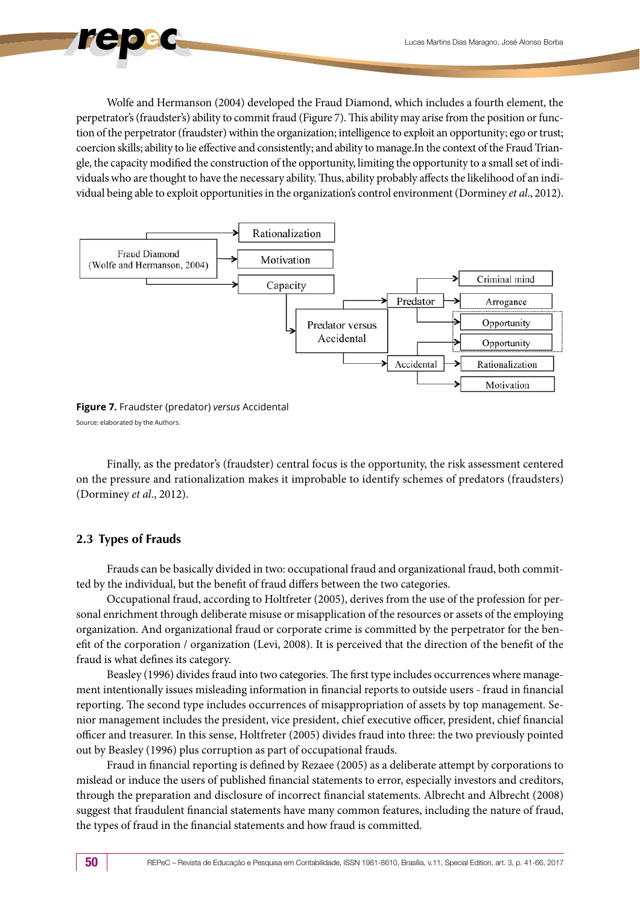Wolfe and Hermanson (2004) developed the Fraud Diamond, which includes a fourth element, the perpetrator's (fraudster's) ability to commit fraud (Figure 7). This ability may arise from the position or function of the perpetrator (fraudster) within the organization; intelligence to exploit an opportunity; ego or trust; coercion skills; ability to lie effective and consistently; and ability to manage.In the context of the Fraud Triangle, the capacity modified the construction of the opportunity, limiting the opportunity to a small set of individuals who are thought to have the necessary ability. Thus, ability probably affects the likelihood of an individual being able to exploit opportunities in the organization's control environment (Dorminey *et al*., 2012).



**Figure 7.** Fraudster (predator) *versus* Accidental Source: elaborated by the Authors.

Finally, as the predator's (fraudster) central focus is the opportunity, the risk assessment centered on the pressure and rationalization makes it improbable to identify schemes of predators (fraudsters) (Dorminey *et al*., 2012).

### **2.3 Types of Frauds**

Frauds can be basically divided in two: occupational fraud and organizational fraud, both committed by the individual, but the benefit of fraud differs between the two categories.

Occupational fraud, according to Holtfreter (2005), derives from the use of the profession for personal enrichment through deliberate misuse or misapplication of the resources or assets of the employing organization. And organizational fraud or corporate crime is committed by the perpetrator for the benefit of the corporation / organization (Levi, 2008). It is perceived that the direction of the benefit of the fraud is what defines its category.

Beasley (1996) divides fraud into two categories. The first type includes occurrences where management intentionally issues misleading information in financial reports to outside users - fraud in financial reporting. The second type includes occurrences of misappropriation of assets by top management. Senior management includes the president, vice president, chief executive officer, president, chief financial officer and treasurer. In this sense, Holtfreter (2005) divides fraud into three: the two previously pointed out by Beasley (1996) plus corruption as part of occupational frauds.

Fraud in financial reporting is defined by Rezaee (2005) as a deliberate attempt by corporations to mislead or induce the users of published financial statements to error, especially investors and creditors, through the preparation and disclosure of incorrect financial statements. Albrecht and Albrecht (2008) suggest that fraudulent financial statements have many common features, including the nature of fraud, the types of fraud in the financial statements and how fraud is committed.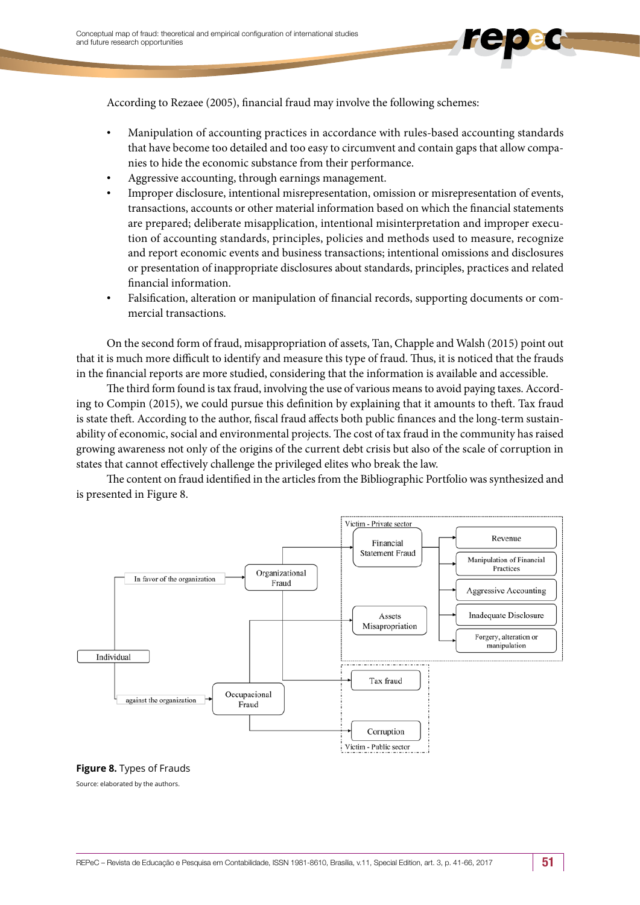According to Rezaee (2005), financial fraud may involve the following schemes:

- Manipulation of accounting practices in accordance with rules-based accounting standards that have become too detailed and too easy to circumvent and contain gaps that allow companies to hide the economic substance from their performance.
- Aggressive accounting, through earnings management.
- Improper disclosure, intentional misrepresentation, omission or misrepresentation of events, transactions, accounts or other material information based on which the financial statements are prepared; deliberate misapplication, intentional misinterpretation and improper execution of accounting standards, principles, policies and methods used to measure, recognize and report economic events and business transactions; intentional omissions and disclosures or presentation of inappropriate disclosures about standards, principles, practices and related financial information.
- Falsification, alteration or manipulation of financial records, supporting documents or commercial transactions.

On the second form of fraud, misappropriation of assets, Tan, Chapple and Walsh (2015) point out that it is much more difficult to identify and measure this type of fraud. Thus, it is noticed that the frauds in the financial reports are more studied, considering that the information is available and accessible.

The third form found is tax fraud, involving the use of various means to avoid paying taxes. According to Compin (2015), we could pursue this definition by explaining that it amounts to theft. Tax fraud is state theft. According to the author, fiscal fraud affects both public finances and the long-term sustainability of economic, social and environmental projects. The cost of tax fraud in the community has raised growing awareness not only of the origins of the current debt crisis but also of the scale of corruption in states that cannot effectively challenge the privileged elites who break the law.

The content on fraud identified in the articles from the Bibliographic Portfolio was synthesized and is presented in Figure 8.



#### **Figure 8.** Types of Frauds

Source: elaborated by the authors.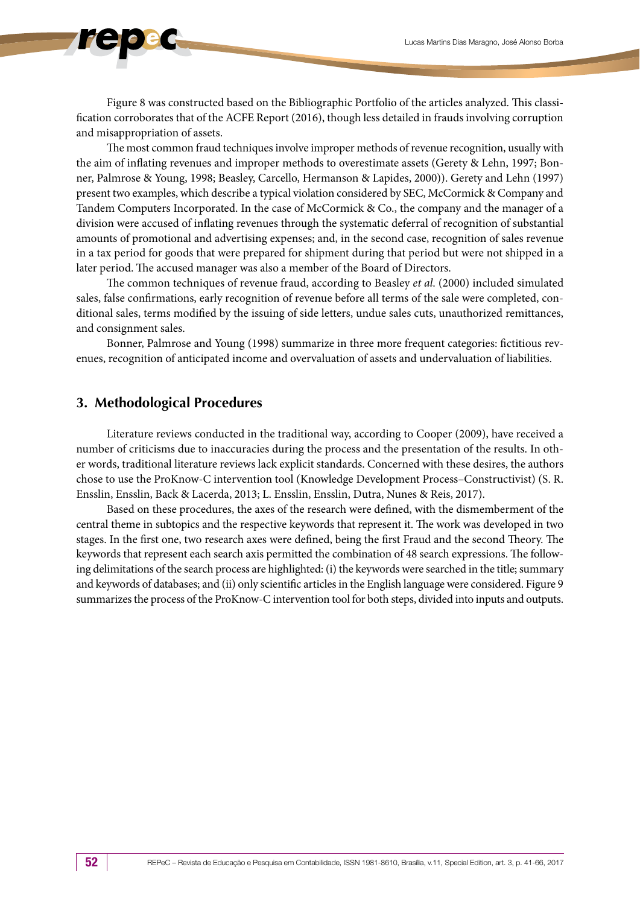Figure 8 was constructed based on the Bibliographic Portfolio of the articles analyzed. This classification corroborates that of the ACFE Report (2016), though less detailed in frauds involving corruption and misappropriation of assets.

The most common fraud techniques involve improper methods of revenue recognition, usually with the aim of inflating revenues and improper methods to overestimate assets (Gerety & Lehn, 1997; Bonner, Palmrose & Young, 1998; Beasley, Carcello, Hermanson & Lapides, 2000)). Gerety and Lehn (1997) present two examples, which describe a typical violation considered by SEC, McCormick & Company and Tandem Computers Incorporated. In the case of McCormick & Co., the company and the manager of a division were accused of inflating revenues through the systematic deferral of recognition of substantial amounts of promotional and advertising expenses; and, in the second case, recognition of sales revenue in a tax period for goods that were prepared for shipment during that period but were not shipped in a later period. The accused manager was also a member of the Board of Directors.

The common techniques of revenue fraud, according to Beasley *et al*. (2000) included simulated sales, false confirmations, early recognition of revenue before all terms of the sale were completed, conditional sales, terms modified by the issuing of side letters, undue sales cuts, unauthorized remittances, and consignment sales.

Bonner, Palmrose and Young (1998) summarize in three more frequent categories: fictitious revenues, recognition of anticipated income and overvaluation of assets and undervaluation of liabilities.

### **3. Methodological Procedures**

Literature reviews conducted in the traditional way, according to Cooper (2009), have received a number of criticisms due to inaccuracies during the process and the presentation of the results. In other words, traditional literature reviews lack explicit standards. Concerned with these desires, the authors chose to use the ProKnow-C intervention tool (Knowledge Development Process–Constructivist) (S. R. Ensslin, Ensslin, Back & Lacerda, 2013; L. Ensslin, Ensslin, Dutra, Nunes & Reis, 2017).

Based on these procedures, the axes of the research were defined, with the dismemberment of the central theme in subtopics and the respective keywords that represent it. The work was developed in two stages. In the first one, two research axes were defined, being the first Fraud and the second Theory. The keywords that represent each search axis permitted the combination of 48 search expressions. The following delimitations of the search process are highlighted: (i) the keywords were searched in the title; summary and keywords of databases; and (ii) only scientific articles in the English language were considered. Figure 9 summarizes the process of the ProKnow-C intervention tool for both steps, divided into inputs and outputs.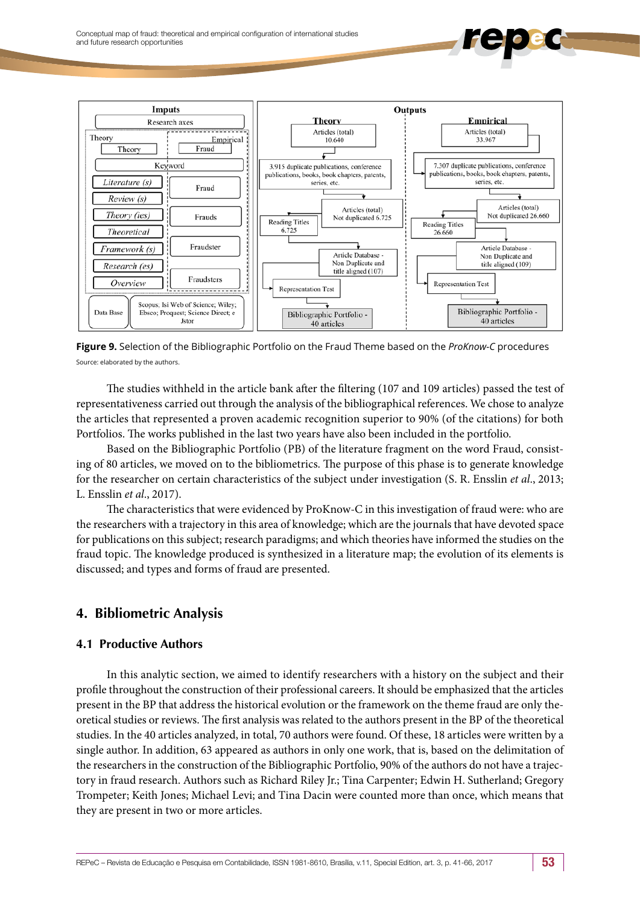

**Figure 9.** Selection of the Bibliographic Portfolio on the Fraud Theme based on the *ProKnow-C* procedures Source: elaborated by the authors.

The studies withheld in the article bank after the filtering (107 and 109 articles) passed the test of representativeness carried out through the analysis of the bibliographical references. We chose to analyze the articles that represented a proven academic recognition superior to 90% (of the citations) for both Portfolios. The works published in the last two years have also been included in the portfolio.

Based on the Bibliographic Portfolio (PB) of the literature fragment on the word Fraud, consisting of 80 articles, we moved on to the bibliometrics. The purpose of this phase is to generate knowledge for the researcher on certain characteristics of the subject under investigation (S. R. Ensslin *et al*., 2013; L. Ensslin *et al*., 2017).

The characteristics that were evidenced by ProKnow-C in this investigation of fraud were: who are the researchers with a trajectory in this area of knowledge; which are the journals that have devoted space for publications on this subject; research paradigms; and which theories have informed the studies on the fraud topic. The knowledge produced is synthesized in a literature map; the evolution of its elements is discussed; and types and forms of fraud are presented.

## **4. Bibliometric Analysis**

### **4.1 Productive Authors**

In this analytic section, we aimed to identify researchers with a history on the subject and their profile throughout the construction of their professional careers. It should be emphasized that the articles present in the BP that address the historical evolution or the framework on the theme fraud are only theoretical studies or reviews. The first analysis was related to the authors present in the BP of the theoretical studies. In the 40 articles analyzed, in total, 70 authors were found. Of these, 18 articles were written by a single author. In addition, 63 appeared as authors in only one work, that is, based on the delimitation of the researchers in the construction of the Bibliographic Portfolio, 90% of the authors do not have a trajectory in fraud research. Authors such as Richard Riley Jr.; Tina Carpenter; Edwin H. Sutherland; Gregory Trompeter; Keith Jones; Michael Levi; and Tina Dacin were counted more than once, which means that they are present in two or more articles.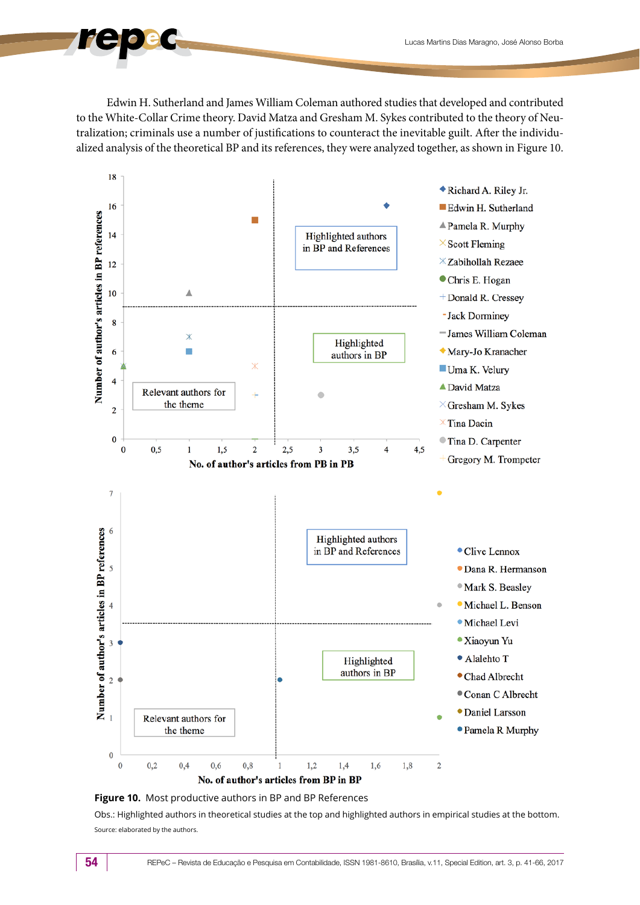Edwin H. Sutherland and James William Coleman authored studies that developed and contributed to the White-Collar Crime theory. David Matza and Gresham M. Sykes contributed to the theory of Neutralization; criminals use a number of justifications to counteract the inevitable guilt. After the individualized analysis of the theoretical BP and its references, they were analyzed together, as shown in Figure 10.





Obs.: Highlighted authors in theoretical studies at the top and highlighted authors in empirical studies at the bottom. Source: elaborated by the authors.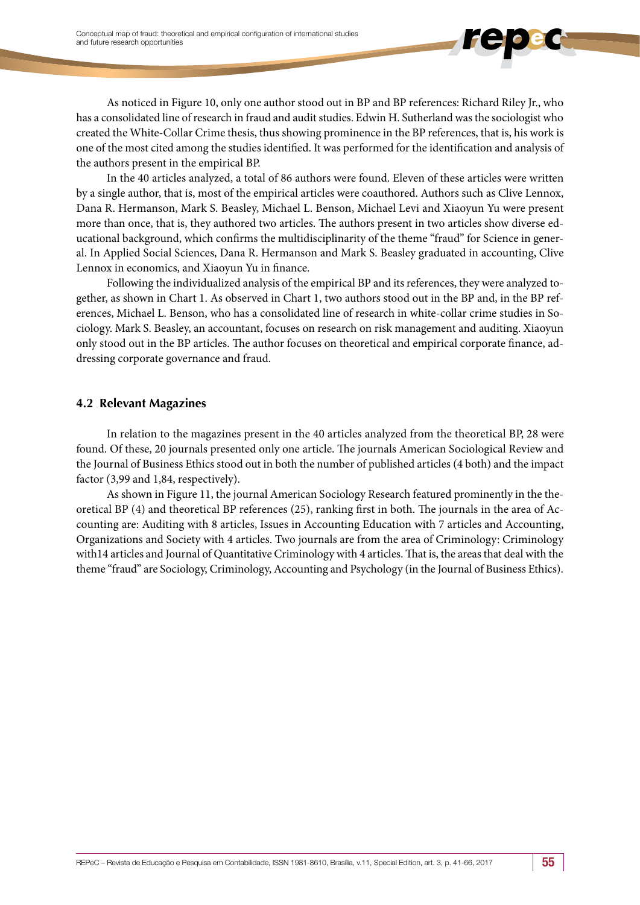As noticed in Figure 10, only one author stood out in BP and BP references: Richard Riley Jr., who has a consolidated line of research in fraud and audit studies. Edwin H. Sutherland was the sociologist who created the White-Collar Crime thesis, thus showing prominence in the BP references, that is, his work is one of the most cited among the studies identified. It was performed for the identification and analysis of the authors present in the empirical BP.

In the 40 articles analyzed, a total of 86 authors were found. Eleven of these articles were written by a single author, that is, most of the empirical articles were coauthored. Authors such as Clive Lennox, Dana R. Hermanson, Mark S. Beasley, Michael L. Benson, Michael Levi and Xiaoyun Yu were present more than once, that is, they authored two articles. The authors present in two articles show diverse educational background, which confirms the multidisciplinarity of the theme "fraud" for Science in general. In Applied Social Sciences, Dana R. Hermanson and Mark S. Beasley graduated in accounting, Clive Lennox in economics, and Xiaoyun Yu in finance.

Following the individualized analysis of the empirical BP and its references, they were analyzed together, as shown in Chart 1. As observed in Chart 1, two authors stood out in the BP and, in the BP references, Michael L. Benson, who has a consolidated line of research in white-collar crime studies in Sociology. Mark S. Beasley, an accountant, focuses on research on risk management and auditing. Xiaoyun only stood out in the BP articles. The author focuses on theoretical and empirical corporate finance, addressing corporate governance and fraud.

### **4.2 Relevant Magazines**

In relation to the magazines present in the 40 articles analyzed from the theoretical BP, 28 were found. Of these, 20 journals presented only one article. The journals American Sociological Review and the Journal of Business Ethics stood out in both the number of published articles (4 both) and the impact factor (3,99 and 1,84, respectively).

As shown in Figure 11, the journal American Sociology Research featured prominently in the theoretical BP (4) and theoretical BP references (25), ranking first in both. The journals in the area of Accounting are: Auditing with 8 articles, Issues in Accounting Education with 7 articles and Accounting, Organizations and Society with 4 articles. Two journals are from the area of Criminology: Criminology with14 articles and Journal of Quantitative Criminology with 4 articles. That is, the areas that deal with the theme "fraud" are Sociology, Criminology, Accounting and Psychology (in the Journal of Business Ethics).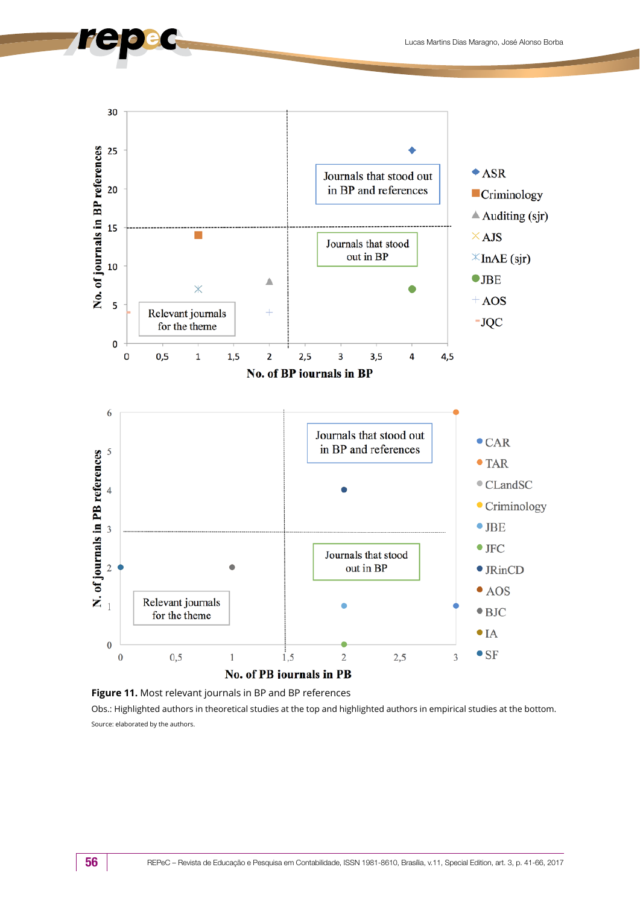



Obs.: Highlighted authors in theoretical studies at the top and highlighted authors in empirical studies at the bottom. Source: elaborated by the authors.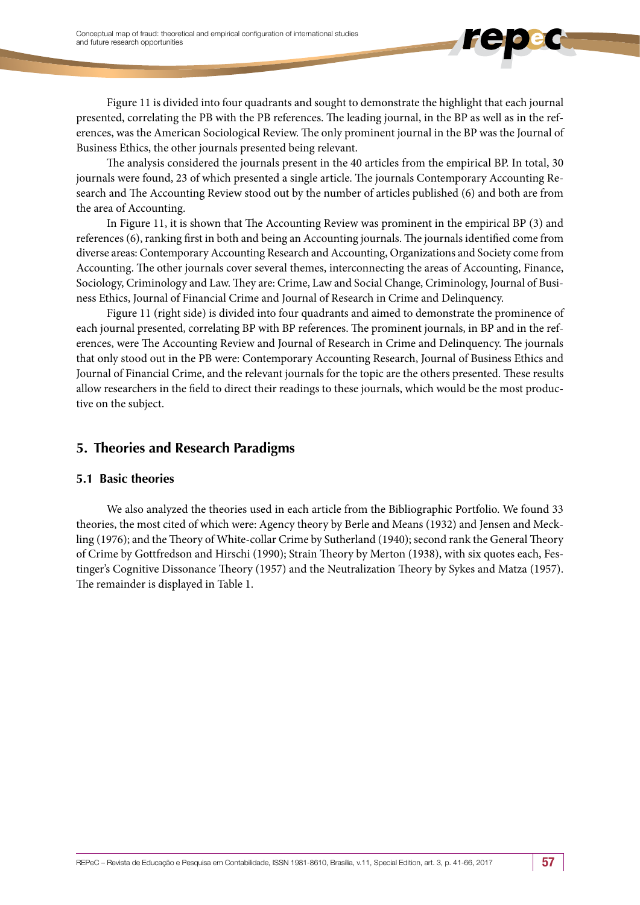Figure 11 is divided into four quadrants and sought to demonstrate the highlight that each journal presented, correlating the PB with the PB references. The leading journal, in the BP as well as in the references, was the American Sociological Review. The only prominent journal in the BP was the Journal of Business Ethics, the other journals presented being relevant.

The analysis considered the journals present in the 40 articles from the empirical BP. In total, 30 journals were found, 23 of which presented a single article. The journals Contemporary Accounting Research and The Accounting Review stood out by the number of articles published (6) and both are from the area of Accounting.

In Figure 11, it is shown that The Accounting Review was prominent in the empirical BP (3) and references (6), ranking first in both and being an Accounting journals. The journals identified come from diverse areas: Contemporary Accounting Research and Accounting, Organizations and Society come from Accounting. The other journals cover several themes, interconnecting the areas of Accounting, Finance, Sociology, Criminology and Law. They are: Crime, Law and Social Change, Criminology, Journal of Business Ethics, Journal of Financial Crime and Journal of Research in Crime and Delinquency.

Figure 11 (right side) is divided into four quadrants and aimed to demonstrate the prominence of each journal presented, correlating BP with BP references. The prominent journals, in BP and in the references, were The Accounting Review and Journal of Research in Crime and Delinquency. The journals that only stood out in the PB were: Contemporary Accounting Research, Journal of Business Ethics and Journal of Financial Crime, and the relevant journals for the topic are the others presented. These results allow researchers in the field to direct their readings to these journals, which would be the most productive on the subject.

### **5. Theories and Research Paradigms**

### **5.1 Basic theories**

We also analyzed the theories used in each article from the Bibliographic Portfolio. We found 33 theories, the most cited of which were: Agency theory by Berle and Means (1932) and Jensen and Meckling (1976); and the Theory of White-collar Crime by Sutherland (1940); second rank the General Theory of Crime by Gottfredson and Hirschi (1990); Strain Theory by Merton (1938), with six quotes each, Festinger's Cognitive Dissonance Theory (1957) and the Neutralization Theory by Sykes and Matza (1957). The remainder is displayed in Table 1.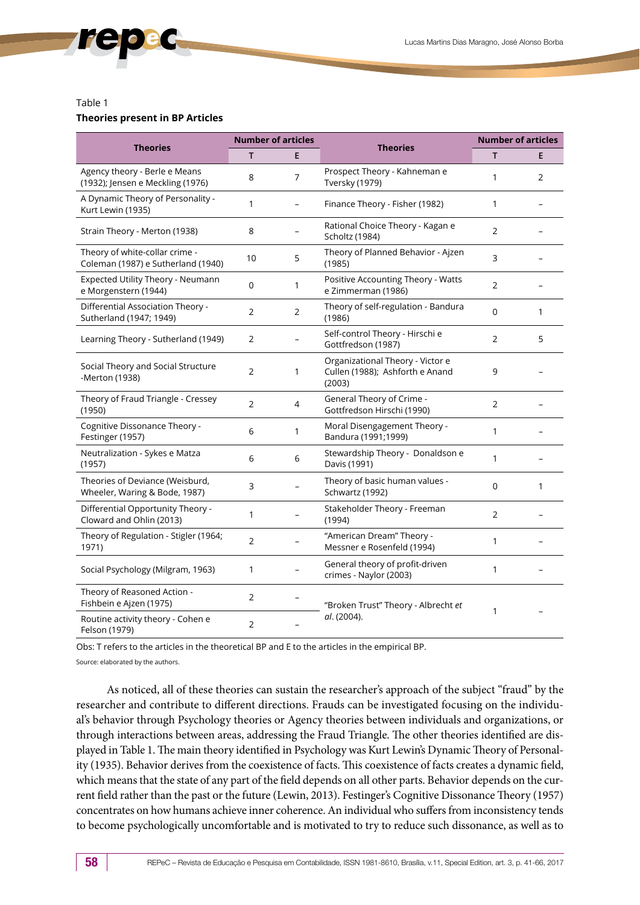#### Table 1

#### **Theories present in BP Articles**

| <b>Theories</b>                                                      | <b>Number of articles</b> |              |                                                                               | <b>Number of articles</b> |                |
|----------------------------------------------------------------------|---------------------------|--------------|-------------------------------------------------------------------------------|---------------------------|----------------|
|                                                                      | T.                        | E            | <b>Theories</b>                                                               | т                         | E              |
| Agency theory - Berle e Means<br>(1932); Jensen e Meckling (1976)    | 8                         | 7            | Prospect Theory - Kahneman e<br><b>Tversky (1979)</b>                         | 1                         | $\overline{2}$ |
| A Dynamic Theory of Personality -<br>Kurt Lewin (1935)               | 1                         |              | Finance Theory - Fisher (1982)                                                | 1                         |                |
| Strain Theory - Merton (1938)                                        | 8                         |              | Rational Choice Theory - Kagan e<br>Scholtz (1984)                            | 2                         |                |
| Theory of white-collar crime -<br>Coleman (1987) e Sutherland (1940) | 10                        | 5            | Theory of Planned Behavior - Ajzen<br>(1985)                                  | 3                         |                |
| Expected Utility Theory - Neumann<br>e Morgenstern (1944)            | $\Omega$                  | $\mathbf{1}$ | Positive Accounting Theory - Watts<br>e Zimmerman (1986)                      | $\overline{2}$            |                |
| Differential Association Theory -<br>Sutherland (1947; 1949)         | $\overline{2}$            | 2            | Theory of self-regulation - Bandura<br>(1986)                                 | $\Omega$                  | $\mathbf{1}$   |
| Learning Theory - Sutherland (1949)                                  | 2                         |              | Self-control Theory - Hirschi e<br>Gottfredson (1987)                         | $\overline{2}$            | 5              |
| Social Theory and Social Structure<br>-Merton (1938)                 | $\overline{2}$            | 1            | Organizational Theory - Victor e<br>Cullen (1988); Ashforth e Anand<br>(2003) | 9                         |                |
| Theory of Fraud Triangle - Cressey<br>(1950)                         | 2                         | 4            | General Theory of Crime -<br>Gottfredson Hirschi (1990)                       | 2                         |                |
| Cognitive Dissonance Theory -<br>Festinger (1957)                    | 6                         | 1            | Moral Disengagement Theory -<br>Bandura (1991;1999)                           | 1                         |                |
| Neutralization - Sykes e Matza<br>(1957)                             | 6                         | 6            | Stewardship Theory - Donaldson e<br>Davis (1991)                              | 1                         |                |
| Theories of Deviance (Weisburd,<br>Wheeler, Waring & Bode, 1987)     | 3                         |              | Theory of basic human values -<br>Schwartz (1992)                             | $\Omega$                  | $\mathbf{1}$   |
| Differential Opportunity Theory -<br>Cloward and Ohlin (2013)        | 1                         |              | Stakeholder Theory - Freeman<br>(1994)                                        | $\overline{2}$            |                |
| Theory of Regulation - Stigler (1964;<br>1971)                       | 2                         |              | "American Dream" Theory -<br>Messner e Rosenfeld (1994)                       | $\mathbf{1}$              |                |
| Social Psychology (Milgram, 1963)                                    | 1                         |              | General theory of profit-driven<br>crimes - Naylor (2003)                     | $\mathbf{1}$              |                |
| Theory of Reasoned Action -<br>Fishbein e Ajzen (1975)               | 2                         |              | "Broken Trust" Theory - Albrecht et<br>al. (2004).                            | 1                         |                |
| Routine activity theory - Cohen e<br>Felson (1979)                   | $\overline{2}$            |              |                                                                               |                           |                |

Obs: T refers to the articles in the theoretical BP and E to the articles in the empirical BP.

Source: elaborated by the authors.

As noticed, all of these theories can sustain the researcher's approach of the subject "fraud" by the researcher and contribute to different directions. Frauds can be investigated focusing on the individual's behavior through Psychology theories or Agency theories between individuals and organizations, or through interactions between areas, addressing the Fraud Triangle. The other theories identified are displayed in Table 1. The main theory identified in Psychology was Kurt Lewin's Dynamic Theory of Personality (1935). Behavior derives from the coexistence of facts. This coexistence of facts creates a dynamic field, which means that the state of any part of the field depends on all other parts. Behavior depends on the current field rather than the past or the future (Lewin, 2013). Festinger's Cognitive Dissonance Theory (1957) concentrates on how humans achieve inner coherence. An individual who suffers from inconsistency tends to become psychologically uncomfortable and is motivated to try to reduce such dissonance, as well as to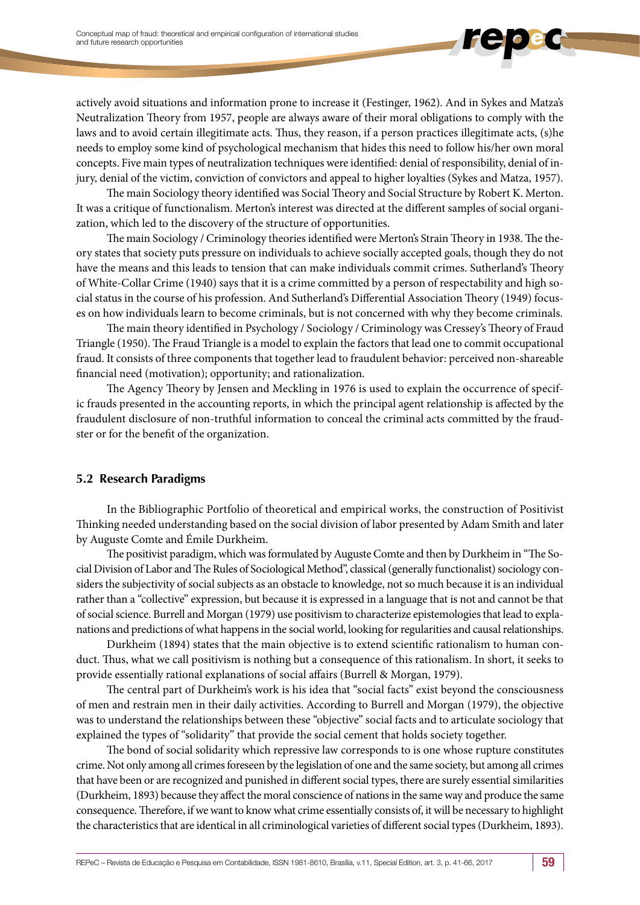actively avoid situations and information prone to increase it (Festinger, 1962). And in Sykes and Matza's Neutralization Theory from 1957, people are always aware of their moral obligations to comply with the laws and to avoid certain illegitimate acts. Thus, they reason, if a person practices illegitimate acts, (s)he needs to employ some kind of psychological mechanism that hides this need to follow his/her own moral concepts. Five main types of neutralization techniques were identified: denial of responsibility, denial of injury, denial of the victim, conviction of convictors and appeal to higher loyalties (Sykes and Matza, 1957).

The main Sociology theory identified was Social Theory and Social Structure by Robert K. Merton. It was a critique of functionalism. Merton's interest was directed at the different samples of social organization, which led to the discovery of the structure of opportunities.

The main Sociology / Criminology theories identified were Merton's Strain Theory in 1938. The theory states that society puts pressure on individuals to achieve socially accepted goals, though they do not have the means and this leads to tension that can make individuals commit crimes. Sutherland's Theory of White-Collar Crime (1940) says that it is a crime committed by a person of respectability and high social status in the course of his profession. And Sutherland's Differential Association Theory (1949) focuses on how individuals learn to become criminals, but is not concerned with why they become criminals.

The main theory identified in Psychology / Sociology / Criminology was Cressey's Theory of Fraud Triangle (1950). The Fraud Triangle is a model to explain the factors that lead one to commit occupational fraud. It consists of three components that together lead to fraudulent behavior: perceived non-shareable financial need (motivation); opportunity; and rationalization.

The Agency Theory by Jensen and Meckling in 1976 is used to explain the occurrence of specific frauds presented in the accounting reports, in which the principal agent relationship is affected by the fraudulent disclosure of non-truthful information to conceal the criminal acts committed by the fraudster or for the benefit of the organization.

### **5.2 Research Paradigms**

In the Bibliographic Portfolio of theoretical and empirical works, the construction of Positivist Thinking needed understanding based on the social division of labor presented by Adam Smith and later by Auguste Comte and Émile Durkheim.

The positivist paradigm, which was formulated by Auguste Comte and then by Durkheim in "The Social Division of Labor and The Rules of Sociological Method", classical (generally functionalist) sociology considers the subjectivity of social subjects as an obstacle to knowledge, not so much because it is an individual rather than a "collective" expression, but because it is expressed in a language that is not and cannot be that of social science. Burrell and Morgan (1979) use positivism to characterize epistemologies that lead to explanations and predictions of what happens in the social world, looking for regularities and causal relationships.

Durkheim (1894) states that the main objective is to extend scientific rationalism to human conduct. Thus, what we call positivism is nothing but a consequence of this rationalism. In short, it seeks to provide essentially rational explanations of social affairs (Burrell & Morgan, 1979).

The central part of Durkheim's work is his idea that "social facts" exist beyond the consciousness of men and restrain men in their daily activities. According to Burrell and Morgan (1979), the objective was to understand the relationships between these "objective" social facts and to articulate sociology that explained the types of "solidarity" that provide the social cement that holds society together.

The bond of social solidarity which repressive law corresponds to is one whose rupture constitutes crime. Not only among all crimes foreseen by the legislation of one and the same society, but among all crimes that have been or are recognized and punished in different social types, there are surely essential similarities (Durkheim, 1893) because they affect the moral conscience of nations in the same way and produce the same consequence. Therefore, if we want to know what crime essentially consists of, it will be necessary to highlight the characteristics that are identical in all criminological varieties of different social types (Durkheim, 1893).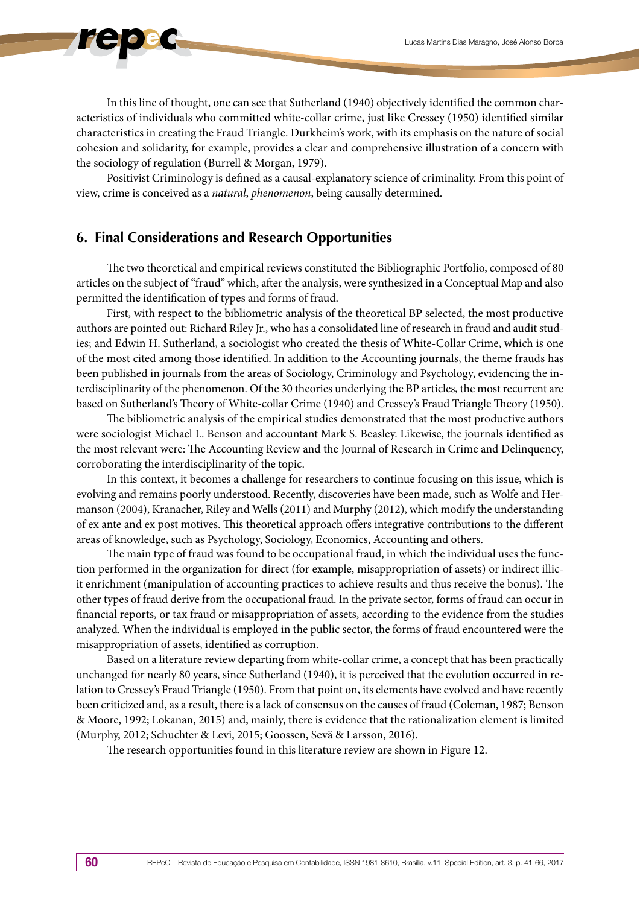In this line of thought, one can see that Sutherland (1940) objectively identified the common characteristics of individuals who committed white-collar crime, just like Cressey (1950) identified similar characteristics in creating the Fraud Triangle. Durkheim's work, with its emphasis on the nature of social cohesion and solidarity, for example, provides a clear and comprehensive illustration of a concern with the sociology of regulation (Burrell & Morgan, 1979).

Positivist Criminology is defined as a causal-explanatory science of criminality. From this point of view, crime is conceived as a *natural*, *phenomenon*, being causally determined.

### **6. Final Considerations and Research Opportunities**

The two theoretical and empirical reviews constituted the Bibliographic Portfolio, composed of 80 articles on the subject of "fraud" which, after the analysis, were synthesized in a Conceptual Map and also permitted the identification of types and forms of fraud.

First, with respect to the bibliometric analysis of the theoretical BP selected, the most productive authors are pointed out: Richard Riley Jr., who has a consolidated line of research in fraud and audit studies; and Edwin H. Sutherland, a sociologist who created the thesis of White-Collar Crime, which is one of the most cited among those identified. In addition to the Accounting journals, the theme frauds has been published in journals from the areas of Sociology, Criminology and Psychology, evidencing the interdisciplinarity of the phenomenon. Of the 30 theories underlying the BP articles, the most recurrent are based on Sutherland's Theory of White-collar Crime (1940) and Cressey's Fraud Triangle Theory (1950).

The bibliometric analysis of the empirical studies demonstrated that the most productive authors were sociologist Michael L. Benson and accountant Mark S. Beasley. Likewise, the journals identified as the most relevant were: The Accounting Review and the Journal of Research in Crime and Delinquency, corroborating the interdisciplinarity of the topic.

In this context, it becomes a challenge for researchers to continue focusing on this issue, which is evolving and remains poorly understood. Recently, discoveries have been made, such as Wolfe and Hermanson (2004), Kranacher, Riley and Wells (2011) and Murphy (2012), which modify the understanding of ex ante and ex post motives. This theoretical approach offers integrative contributions to the different areas of knowledge, such as Psychology, Sociology, Economics, Accounting and others.

The main type of fraud was found to be occupational fraud, in which the individual uses the function performed in the organization for direct (for example, misappropriation of assets) or indirect illicit enrichment (manipulation of accounting practices to achieve results and thus receive the bonus). The other types of fraud derive from the occupational fraud. In the private sector, forms of fraud can occur in financial reports, or tax fraud or misappropriation of assets, according to the evidence from the studies analyzed. When the individual is employed in the public sector, the forms of fraud encountered were the misappropriation of assets, identified as corruption.

Based on a literature review departing from white-collar crime, a concept that has been practically unchanged for nearly 80 years, since Sutherland (1940), it is perceived that the evolution occurred in relation to Cressey's Fraud Triangle (1950). From that point on, its elements have evolved and have recently been criticized and, as a result, there is a lack of consensus on the causes of fraud (Coleman, 1987; Benson & Moore, 1992; Lokanan, 2015) and, mainly, there is evidence that the rationalization element is limited (Murphy, 2012; Schuchter & Levi, 2015; Goossen, Sevä & Larsson, 2016).

The research opportunities found in this literature review are shown in Figure 12.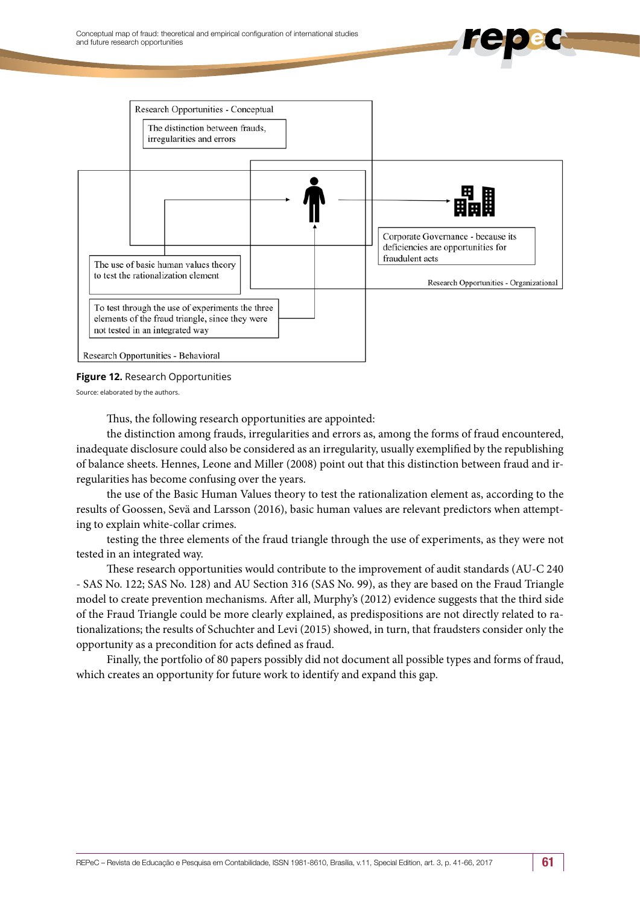

**Figure 12.** Research Opportunities

Source: elaborated by the authors.

Thus, the following research opportunities are appointed:

the distinction among frauds, irregularities and errors as, among the forms of fraud encountered, inadequate disclosure could also be considered as an irregularity, usually exemplified by the republishing of balance sheets. Hennes, Leone and Miller (2008) point out that this distinction between fraud and irregularities has become confusing over the years.

the use of the Basic Human Values theory to test the rationalization element as, according to the results of Goossen, Sevä and Larsson (2016), basic human values are relevant predictors when attempting to explain white-collar crimes.

testing the three elements of the fraud triangle through the use of experiments, as they were not tested in an integrated way.

These research opportunities would contribute to the improvement of audit standards (AU-C 240 - SAS No. 122; SAS No. 128) and AU Section 316 (SAS No. 99), as they are based on the Fraud Triangle model to create prevention mechanisms. After all, Murphy's (2012) evidence suggests that the third side of the Fraud Triangle could be more clearly explained, as predispositions are not directly related to rationalizations; the results of Schuchter and Levi (2015) showed, in turn, that fraudsters consider only the opportunity as a precondition for acts defined as fraud.

Finally, the portfolio of 80 papers possibly did not document all possible types and forms of fraud, which creates an opportunity for future work to identify and expand this gap.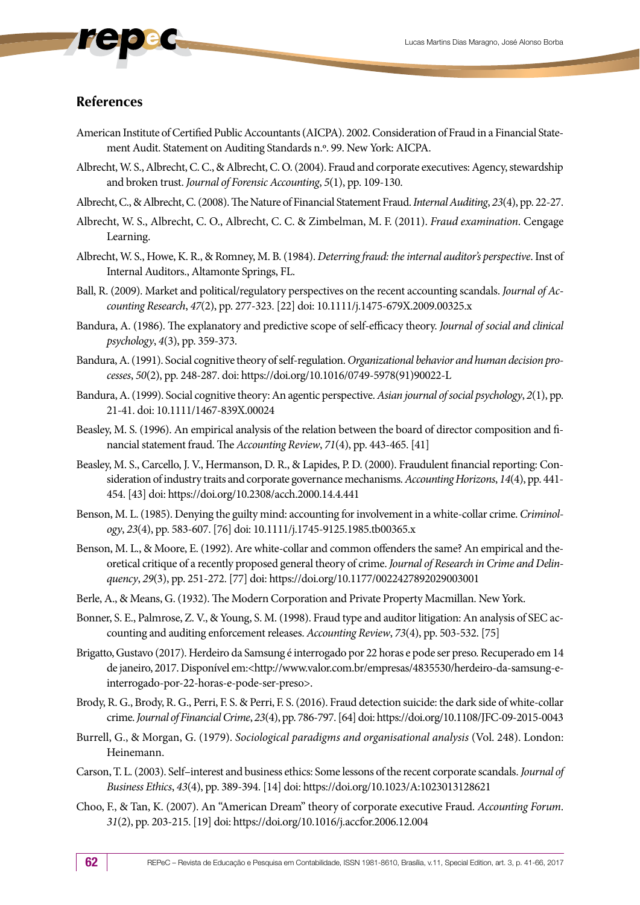### **References**

- American Institute of Certified Public Accountants (AICPA). 2002. Consideration of Fraud in a Financial Statement Audit. Statement on Auditing Standards n.º. 99. New York: AICPA.
- Albrecht, W. S., Albrecht, C. C., & Albrecht, C. O. (2004). Fraud and corporate executives: Agency, stewardship and broken trust. *Journal of Forensic Accounting*, *5*(1), pp. 109-130.
- Albrecht, C., & Albrecht, C. (2008). The Nature of Financial Statement Fraud. *Internal Auditing*, *23*(4), pp. 22-27.
- Albrecht, W. S., Albrecht, C. O., Albrecht, C. C. & Zimbelman, M. F. (2011). *Fraud examination*. Cengage Learning.
- Albrecht, W. S., Howe, K. R., & Romney, M. B. (1984). *Deterring fraud: the internal auditor's perspective*. Inst of Internal Auditors., Altamonte Springs, FL.
- Ball, R. (2009). Market and political/regulatory perspectives on the recent accounting scandals. *Journal of Accounting Research*, *47*(2), pp. 277-323. [22] doi: 10.1111/j.1475-679X.2009.00325.x
- Bandura, A. (1986). The explanatory and predictive scope of self-efficacy theory. *Journal of social and clinical psychology*, *4*(3), pp. 359-373.
- Bandura, A. (1991). Social cognitive theory of self-regulation. *Organizational behavior and human decision processes*, *50*(2), pp. 248-287. doi: [https://doi.org/10.1016/0749-5978\(91\)90022-L](https://doi.org/10.1016/0749-5978(91)90022-L)
- Bandura, A. (1999). Social cognitive theory: An agentic perspective. *Asian journal of social psychology*, *2*(1), pp. 21-41. doi: 10.1111/1467-839X.00024
- Beasley, M. S. (1996). An empirical analysis of the relation between the board of director composition and financial statement fraud. The *Accounting Review*, *71*(4), pp. 443-465. [41]
- Beasley, M. S., Carcello, J. V., Hermanson, D. R., & Lapides, P. D. (2000). Fraudulent financial reporting: Consideration of industry traits and corporate governance mechanisms. *Accounting Horizons*, *14*(4), pp. 441- 454. [43] doi: https://doi.org/10.2308/acch.2000.14.4.441
- Benson, M. L. (1985). Denying the guilty mind: accounting for involvement in a white-collar crime. *Criminology*, *23*(4), pp. 583-607. [76] doi: 10.1111/j.1745-9125.1985.tb00365.x
- Benson, M. L., & Moore, E. (1992). Are white-collar and common offenders the same? An empirical and theoretical critique of a recently proposed general theory of crime. *Journal of Research in Crime and Delinquency*, *29*(3), pp. 251-272. [77] doi: https://doi.org/10.1177/0022427892029003001
- Berle, A., & Means, G. (1932). The Modern Corporation and Private Property Macmillan. New York.
- Bonner, S. E., Palmrose, Z. V., & Young, S. M. (1998). Fraud type and auditor litigation: An analysis of SEC accounting and auditing enforcement releases. *Accounting Review*, *73*(4), pp. 503-532. [75]
- Brigatto, Gustavo (2017). Herdeiro da Samsung é interrogado por 22 horas e pode ser preso. Recuperado em 14 de janeiro, 2017. Disponível em:<http://www.valor.com.br/empresas/4835530/herdeiro-da-samsung-einterrogado-por-22-horas-e-pode-ser-preso>.
- Brody, R. G., Brody, R. G., Perri, F. S. & Perri, F. S. (2016). Fraud detection suicide: the dark side of white-collar crime. *Journal of Financial Crime*, *23*(4), pp. 786-797. [64] doi: https://doi.org/10.1108/JFC-09-2015-0043
- Burrell, G., & Morgan, G. (1979). *Sociological paradigms and organisational analysis* (Vol. 248). London: Heinemann.
- Carson, T. L. (2003). Self–interest and business ethics: Some lessons of the recent corporate scandals. *Journal of Business Ethics*, *43*(4), pp. 389-394. [14] doi: https://doi.org/10.1023/A:1023013128621
- Choo, F., & Tan, K. (2007). An "American Dream" theory of corporate executive Fraud. *Accounting Forum*. *31*(2), pp. 203-215. [19] doi: https://doi.org/10.1016/j.accfor.2006.12.004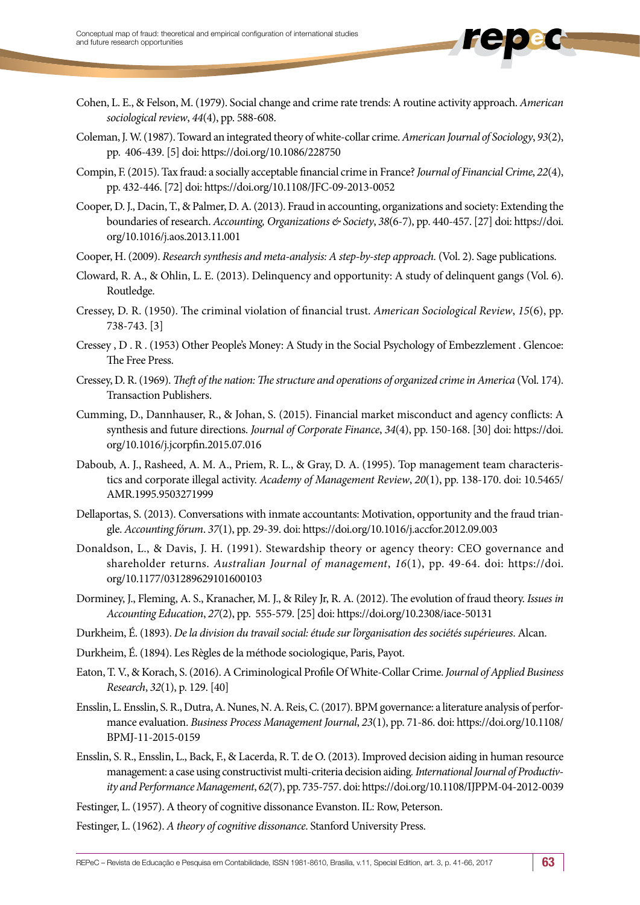- Cohen, L. E., & Felson, M. (1979). Social change and crime rate trends: A routine activity approach. *American sociological review*, *44*(4), pp. 588-608.
- Coleman, J. W. (1987). Toward an integrated theory of white-collar crime. *American Journal of Sociology*, *93*(2), pp. 406-439. [5] doi: https://doi.org/10.1086/228750
- Compin, F. (2015). Tax fraud: a socially acceptable financial crime in France? *Journal of Financial Crime*, *22*(4), pp. 432-446. [72] doi: https://doi.org/10.1108/JFC-09-2013-0052
- Cooper, D. J., Dacin, T., & Palmer, D. A. (2013). Fraud in accounting, organizations and society: Extending the boundaries of research. *Accounting, Organizations & Society*, *38*(6-7), pp. 440-457. [27] doi: https://doi. org/10.1016/j.aos.2013.11.001
- Cooper, H. (2009). *Research synthesis and meta-analysis: A step-by-step approach.* (Vol. 2). Sage publications.
- Cloward, R. A., & Ohlin, L. E. (2013). Delinquency and opportunity: A study of delinquent gangs (Vol. 6). Routledge.
- Cressey, D. R. (1950). The criminal violation of financial trust. *American Sociological Review*, *15*(6), pp. 738-743. [3]
- Cressey , D . R . (1953) Other People's Money: A Study in the Social Psychology of Embezzlement . Glencoe: The Free Press.
- Cressey, D. R. (1969). *Theft of the nation: The structure and operations of organized crime in America* (Vol. 174). Transaction Publishers.
- Cumming, D., Dannhauser, R., & Johan, S. (2015). Financial market misconduct and agency conflicts: A synthesis and future directions. *Journal of Corporate Finance*, *34*(4), pp. 150-168. [30] doi: https://doi. org/10.1016/j.jcorpfin.2015.07.016
- Daboub, A. J., Rasheed, A. M. A., Priem, R. L., & Gray, D. A. (1995). Top management team characteristics and corporate illegal activity. *Academy of Management Review*, *20*(1), pp. 138-170. doi: 10.5465/ AMR.1995.9503271999
- Dellaportas, S. (2013). Conversations with inmate accountants: Motivation, opportunity and the fraud triangle. *Accounting fórum*. *37*(1), pp. 29-39. doi: https://doi.org/10.1016/j.accfor.2012.09.003
- Donaldson, L., & Davis, J. H. (1991). Stewardship theory or agency theory: CEO governance and shareholder returns. *Australian Journal of management*, *16*(1), pp. 49-64. doi: [https://doi.](https://doi.org/10.1177/031289629101600103) [org/10.1177/031289629101600103](https://doi.org/10.1177/031289629101600103)
- Dorminey, J., Fleming, A. S., Kranacher, M. J., & Riley Jr, R. A. (2012). The evolution of fraud theory. *Issues in Accounting Education*, *27*(2), pp. 555-579. [25] doi: https://doi.org/10.2308/iace-50131
- Durkheim, É. (1893). *De la division du travail social: étude sur l'organisation des sociétés supérieures*. Alcan.
- Durkheim, É. (1894). Les Règles de la méthode sociologique, Paris, Payot.
- Eaton, T. V., & Korach, S. (2016). A Criminological Profile Of White-Collar Crime. *Journal of Applied Business Research*, *32*(1), p. 129. [40]
- Ensslin, L. Ensslin, S. R., Dutra, A. Nunes, N. A. Reis, C. (2017). BPM governance: a literature analysis of performance evaluation. *Business Process Management Journal*, *23*(1), pp. 71-86. doi: https://doi.org/10.1108/ BPMJ-11-2015-0159
- Ensslin, S. R., Ensslin, L., Back, F., & Lacerda, R. T. de O. (2013). Improved decision aiding in human resource management: a case using constructivist multi-criteria decision aiding*. International Journal of Productivity and Performance Management*, *62*(7), pp. 735-757. doi: https://doi.org/10.1108/IJPPM-04-2012-0039
- Festinger, L. (1957). A theory of cognitive dissonance Evanston. IL: Row, Peterson.
- Festinger, L. (1962). *A theory of cognitive dissonance*. Stanford University Press.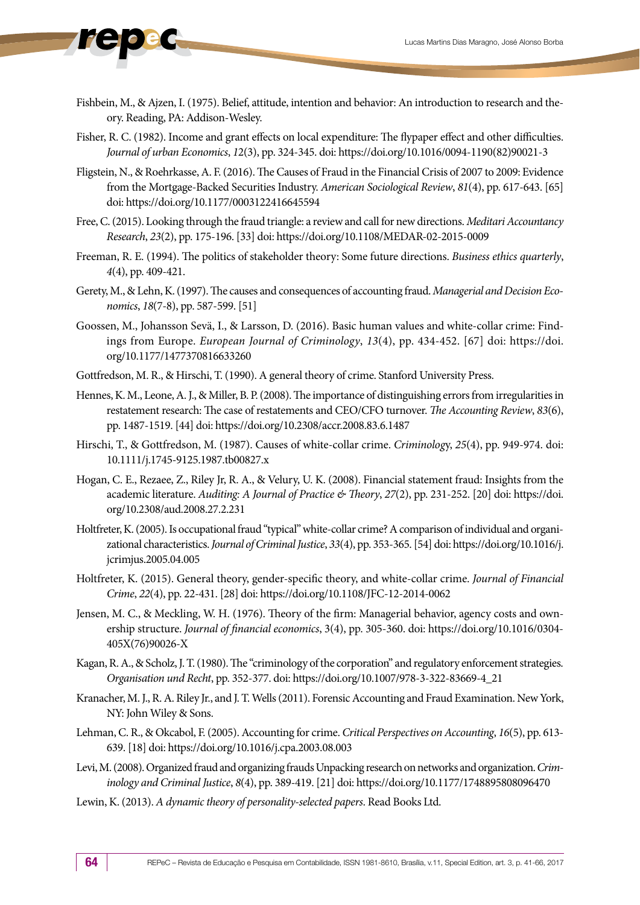- Fishbein, M., & Ajzen, I. (1975). Belief, attitude, intention and behavior: An introduction to research and theory. Reading, PA: Addison-Wesley.
- Fisher, R. C. (1982). Income and grant effects on local expenditure: The flypaper effect and other difficulties. *Journal of urban Economics*, *1*2(3), pp. 324-345. doi: [https://doi.org/10.1016/0094-1190\(82\)90021-3](https://doi.org/10.1016/0094-1190(82)90021-3)
- Fligstein, N., & Roehrkasse, A. F. (2016). The Causes of Fraud in the Financial Crisis of 2007 to 2009: Evidence from the Mortgage-Backed Securities Industry. *American Sociological Review*, *81*(4), pp. 617-643. [65] doi: https://doi.org/10.1177/0003122416645594
- Free, C. (2015). Looking through the fraud triangle: a review and call for new directions. *Meditari Accountancy Research*, *23*(2), pp. 175-196. [33] doi: https://doi.org/10.1108/MEDAR-02-2015-0009
- Freeman, R. E. (1994). The politics of stakeholder theory: Some future directions. *Business ethics quarterly*, *4*(4), pp. 409-421.
- Gerety, M., & Lehn, K. (1997). The causes and consequences of accounting fraud. *Managerial and Decision Economics*, *18*(7-8), pp. 587-599. [51]
- Goossen, M., Johansson Sevä, I., & Larsson, D. (2016). Basic human values and white-collar crime: Findings from Europe. *European Journal of Criminology*, *13*(4), pp. 434-452. [67] doi: https://doi. org/10.1177/1477370816633260
- Gottfredson, M. R., & Hirschi, T. (1990). A general theory of crime. Stanford University Press.
- Hennes, K. M., Leone, A. J., & Miller, B. P. (2008). The importance of distinguishing errors from irregularities in restatement research: The case of restatements and CEO/CFO turnover. *The Accounting Review*, *83*(6), pp. 1487-1519. [44] doi: https://doi.org/10.2308/accr.2008.83.6.1487
- Hirschi, T., & Gottfredson, M. (1987). Causes of white‐collar crime. *Criminolog*y, *25*(4), pp. 949-974. doi: 10.1111/j.1745-9125.1987.tb00827.x
- Hogan, C. E., Rezaee, Z., Riley Jr, R. A., & Velury, U. K. (2008). Financial statement fraud: Insights from the academic literature. *Auditing: A Journal of Practice & Theory*, *27*(2), pp. 231-252. [20] doi: https://doi. org/10.2308/aud.2008.27.2.231
- Holtfreter, K. (2005). Is occupational fraud "typical" white-collar crime? A comparison of individual and organizational characteristics. *Journal of Criminal Justice*, *33*(4), pp. 353-365. [54] doi: https://doi.org/10.1016/j. jcrimjus.2005.04.005
- Holtfreter, K. (2015). General theory, gender-specific theory, and white-collar crime. *Journal of Financial Crime*, *22*(4), pp. 22-431. [28] doi: https://doi.org/10.1108/JFC-12-2014-0062
- Jensen, M. C., & Meckling, W. H. (1976). Theory of the firm: Managerial behavior, agency costs and ownership structure. *Journal of financial economics*, 3(4), pp. 305-360. doi: https://doi.org/10.1016/0304- 405X(76)90026-X
- Kagan, R. A., & Scholz, J. T. (1980). The "criminology of the corporation" and regulatory enforcement strategies. *Organisation und Recht*, pp. 352-377. doi: [https://doi.org/10.1007/978-3-322-83669-4\\_21](https://doi.org/10.1007/978-3-322-83669-4_21)
- Kranacher, M. J., R. A. Riley Jr., and J. T. Wells (2011). Forensic Accounting and Fraud Examination. New York, NY: John Wiley & Sons.
- Lehman, C. R., & Okcabol, F. (2005). Accounting for crime. *Critical Perspectives on Accounting*, *16*(5), pp. 613- 639. [18] doi: https://doi.org/10.1016/j.cpa.2003.08.003
- Levi, M. (2008). Organized fraud and organizing frauds Unpacking research on networks and organization. *Criminology and Criminal Justice*, *8*(4), pp. 389-419. [21] doi: https://doi.org/10.1177/1748895808096470
- Lewin, K. (2013). *A dynamic theory of personality-selected papers*. Read Books Ltd.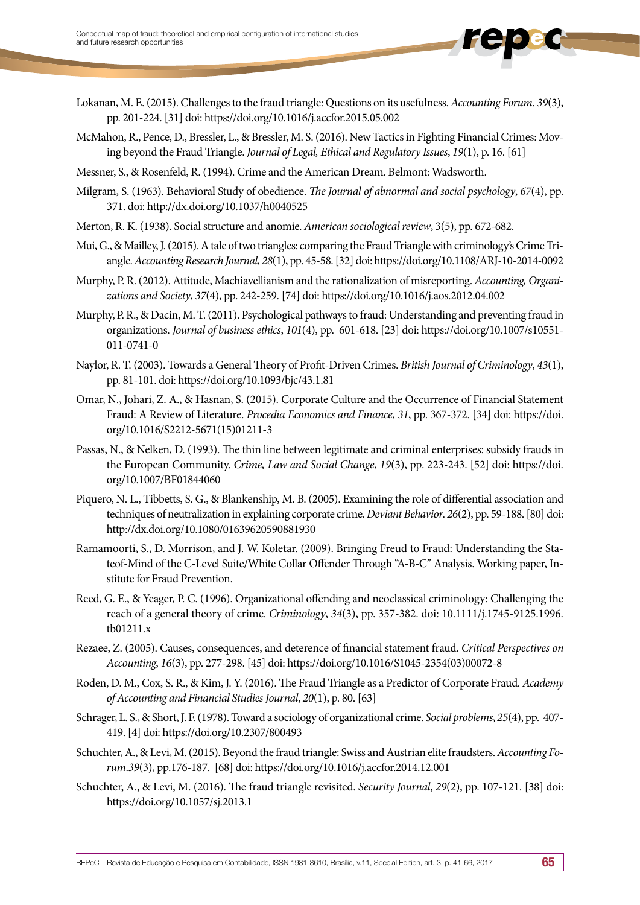- Lokanan, M. E. (2015). Challenges to the fraud triangle: Questions on its usefulness. *Accounting Forum*. *39*(3), pp. 201-224. [31] doi: https://doi.org/10.1016/j.accfor.2015.05.002
- McMahon, R., Pence, D., Bressler, L., & Bressler, M. S. (2016). New Tactics in Fighting Financial Crimes: Moving beyond the Fraud Triangle. *Journal of Legal, Ethical and Regulatory Issues*, *19*(1), p. 16. [61]
- Messner, S., & Rosenfeld, R. (1994). Crime and the American Dream. Belmont: Wadsworth.
- Milgram, S. (1963). Behavioral Study of obedience. *The Journal of abnormal and social psychology*, *67*(4), pp. 371. doi:<http://dx.doi.org/10.1037/h0040525>
- Merton, R. K. (1938). Social structure and anomie. *American sociological review*, 3(5), pp. 672-682.
- Mui, G., & Mailley, J. (2015). A tale of two triangles: comparing the Fraud Triangle with criminology's Crime Triangle. *Accounting Research Journal*, *28*(1), pp. 45-58. [32] doi: https://doi.org/10.1108/ARJ-10-2014-0092
- Murphy, P. R. (2012). Attitude, Machiavellianism and the rationalization of misreporting. *Accounting, Organizations and Society*, *37*(4), pp. 242-259. [74] doi: https://doi.org/10.1016/j.aos.2012.04.002
- Murphy, P. R., & Dacin, M. T. (2011). Psychological pathways to fraud: Understanding and preventing fraud in organizations. *Journal of business ethics*, *101*(4), pp. 601-618. [23] doi: https://doi.org/10.1007/s10551- 011-0741-0
- Naylor, R. T. (2003). Towards a General Theory of Profit‐Driven Crimes. *British Journal of Criminology*, *43*(1), pp. 81-101. doi:<https://doi.org/10.1093/bjc/43.1.81>
- Omar, N., Johari, Z. A., & Hasnan, S. (2015). Corporate Culture and the Occurrence of Financial Statement Fraud: A Review of Literature. *Procedia Economics and Finance*, *31*, pp. 367-372. [34] doi: https://doi. org/10.1016/S2212-5671(15)01211-3
- Passas, N., & Nelken, D. (1993). The thin line between legitimate and criminal enterprises: subsidy frauds in the European Community. *Crime, Law and Social Change*, *19*(3), pp. 223-243. [52] doi: https://doi. org/10.1007/BF01844060
- Piquero, N. L., Tibbetts, S. G., & Blankenship, M. B. (2005). Examining the role of differential association and techniques of neutralization in explaining corporate crime. *Deviant Behavior*. *26*(2), pp. 59-188. [80] doi: http://dx.doi.org/10.1080/01639620590881930
- Ramamoorti, S., D. Morrison, and J. W. Koletar. (2009). Bringing Freud to Fraud: Understanding the Stateof-Mind of the C-Level Suite/White Collar Offender Through ''A-B-C'' Analysis. Working paper, Institute for Fraud Prevention.
- Reed, G. E., & Yeager, P. C. (1996). Organizational offending and neoclassical criminology: Challenging the reach of a general theory of crime. *Criminology*, *34*(3), pp. 357-382. doi: 10.1111/j.1745-9125.1996. tb01211.x
- Rezaee, Z. (2005). Causes, consequences, and deterence of financial statement fraud. *Critical Perspectives on Accounting*, *16*(3), pp. 277-298. [45] doi: https://doi.org/10.1016/S1045-2354(03)00072-8
- Roden, D. M., Cox, S. R., & Kim, J. Y. (2016). The Fraud Triangle as a Predictor of Corporate Fraud. *Academy of Accounting and Financial Studies Journal*, *20*(1), p. 80. [63]
- Schrager, L. S., & Short, J. F. (1978). Toward a sociology of organizational crime. *Social problems*, *25*(4), pp. 407- 419. [4] doi: https://doi.org/10.2307/800493
- Schuchter, A., & Levi, M. (2015). Beyond the fraud triangle: Swiss and Austrian elite fraudsters. *Accounting Forum*.*39*(3), pp.176-187. [68] doi: https://doi.org/10.1016/j.accfor.2014.12.001
- Schuchter, A., & Levi, M. (2016). The fraud triangle revisited. *Security Journal*, *29*(2), pp. 107-121. [38] doi: https://doi.org/10.1057/sj.2013.1